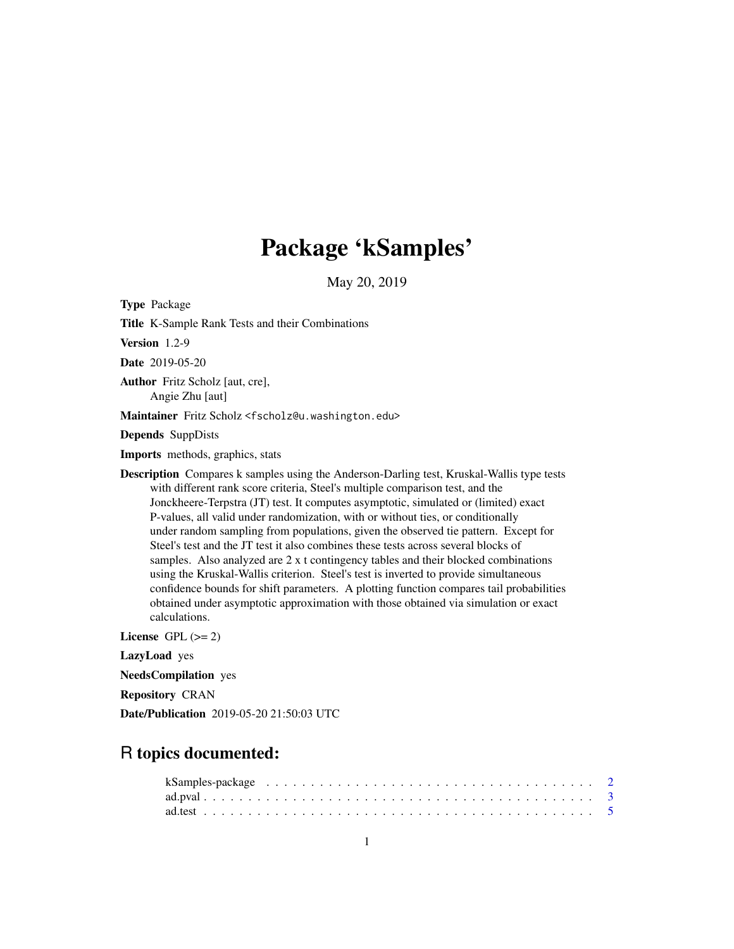# Package 'kSamples'

May 20, 2019

<span id="page-0-0"></span>Type Package Title K-Sample Rank Tests and their Combinations Version 1.2-9 Date 2019-05-20 Author Fritz Scholz [aut, cre], Angie Zhu [aut] Maintainer Fritz Scholz <fscholz@u.washington.edu> Depends SuppDists Imports methods, graphics, stats Description Compares k samples using the Anderson-Darling test, Kruskal-Wallis type tests with different rank score criteria, Steel's multiple comparison test, and the Jonckheere-Terpstra (JT) test. It computes asymptotic, simulated or (limited) exact P-values, all valid under randomization, with or without ties, or conditionally under random sampling from populations, given the observed tie pattern. Except for Steel's test and the JT test it also combines these tests across several blocks of samples. Also analyzed are 2 x t contingency tables and their blocked combinations using the Kruskal-Wallis criterion. Steel's test is inverted to provide simultaneous confidence bounds for shift parameters. A plotting function compares tail probabilities obtained under asymptotic approximation with those obtained via simulation or exact calculations. License GPL  $(>= 2)$ LazyLoad yes

NeedsCompilation yes

Repository CRAN

Date/Publication 2019-05-20 21:50:03 UTC

## R topics documented:

| kSamples-package $\ldots \ldots \ldots \ldots \ldots \ldots \ldots \ldots \ldots \ldots \ldots \ldots \ldots 2$ |  |
|-----------------------------------------------------------------------------------------------------------------|--|
|                                                                                                                 |  |
|                                                                                                                 |  |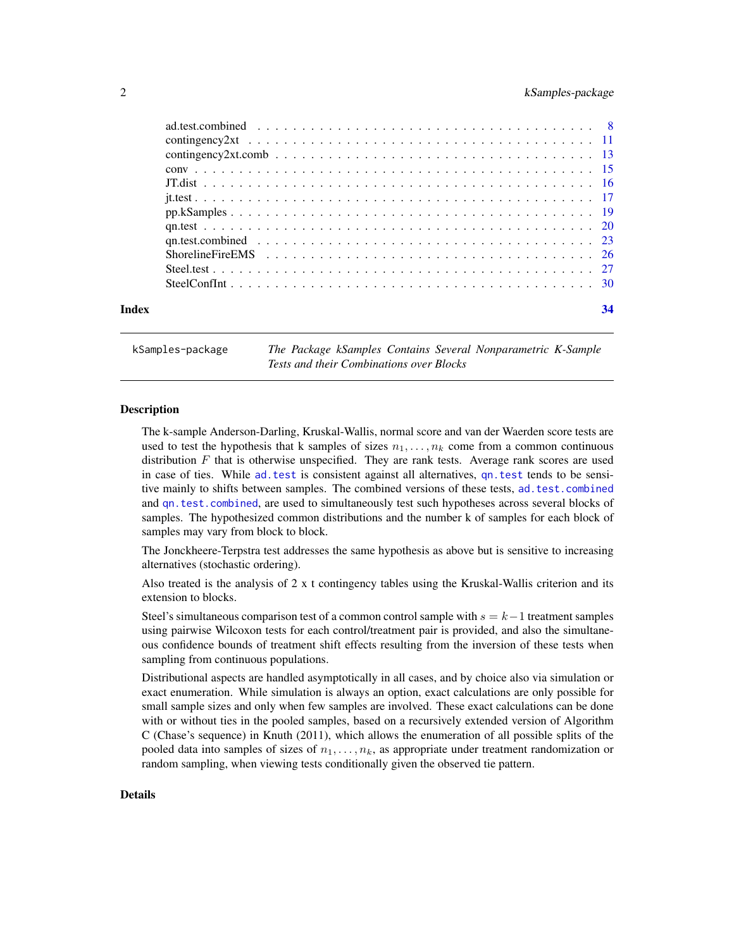#### <span id="page-1-0"></span>2 kSamples-package

| Index | 34 |  |
|-------|----|--|
|       |    |  |

kSamples-package *The Package kSamples Contains Several Nonparametric K-Sample Tests and their Combinations over Blocks*

#### Description

The k-sample Anderson-Darling, Kruskal-Wallis, normal score and van der Waerden score tests are used to test the hypothesis that k samples of sizes  $n_1, \ldots, n_k$  come from a common continuous distribution  $F$  that is otherwise unspecified. They are rank tests. Average rank scores are used in case of ties. While [ad.test](#page-4-1) is consistent against all alternatives, [qn.test](#page-19-1) tends to be sensitive mainly to shifts between samples. The combined versions of these tests, [ad.test.combined](#page-7-1) and [qn.test.combined](#page-22-1), are used to simultaneously test such hypotheses across several blocks of samples. The hypothesized common distributions and the number k of samples for each block of samples may vary from block to block.

The Jonckheere-Terpstra test addresses the same hypothesis as above but is sensitive to increasing alternatives (stochastic ordering).

Also treated is the analysis of  $2 \times t$  contingency tables using the Kruskal-Wallis criterion and its extension to blocks.

Steel's simultaneous comparison test of a common control sample with  $s = k-1$  treatment samples using pairwise Wilcoxon tests for each control/treatment pair is provided, and also the simultaneous confidence bounds of treatment shift effects resulting from the inversion of these tests when sampling from continuous populations.

Distributional aspects are handled asymptotically in all cases, and by choice also via simulation or exact enumeration. While simulation is always an option, exact calculations are only possible for small sample sizes and only when few samples are involved. These exact calculations can be done with or without ties in the pooled samples, based on a recursively extended version of Algorithm C (Chase's sequence) in Knuth (2011), which allows the enumeration of all possible splits of the pooled data into samples of sizes of  $n_1, \ldots, n_k$ , as appropriate under treatment randomization or random sampling, when viewing tests conditionally given the observed tie pattern.

#### Details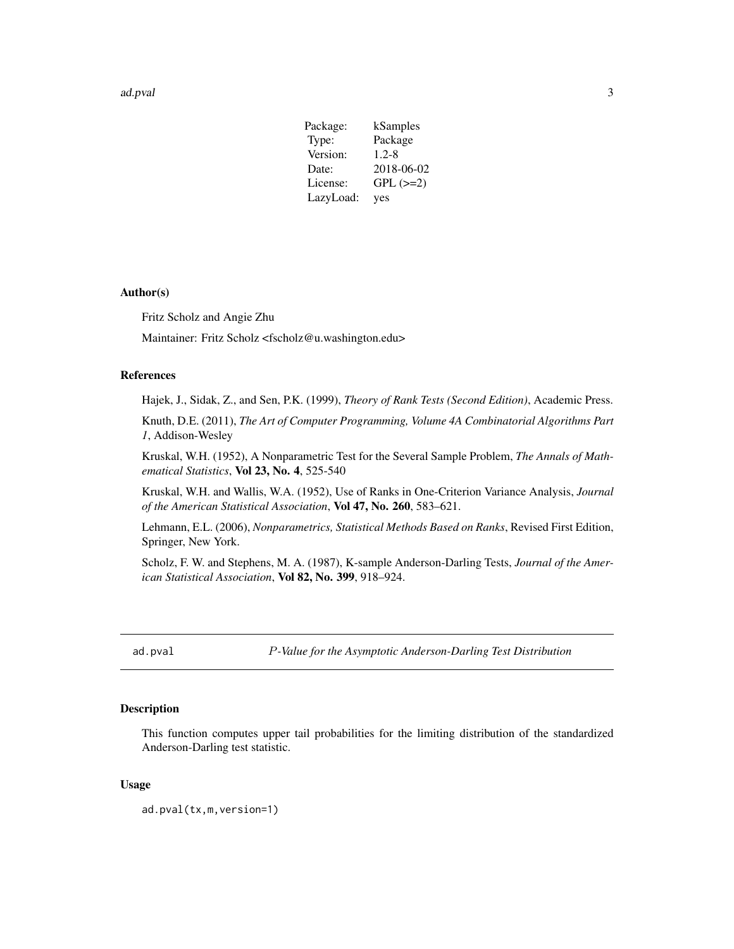#### <span id="page-2-0"></span>ad.pval 3

| Package:  | kSamples      |
|-----------|---------------|
| Type:     | Package       |
| Version:  | $1.2 - 8$     |
| Date:     | 2018-06-02    |
| License:  | $GPL$ $(>=2)$ |
| LazyLoad: | yes           |

#### Author(s)

Fritz Scholz and Angie Zhu

Maintainer: Fritz Scholz <fscholz@u.washington.edu>

#### References

Hajek, J., Sidak, Z., and Sen, P.K. (1999), *Theory of Rank Tests (Second Edition)*, Academic Press.

Knuth, D.E. (2011), *The Art of Computer Programming, Volume 4A Combinatorial Algorithms Part 1*, Addison-Wesley

Kruskal, W.H. (1952), A Nonparametric Test for the Several Sample Problem, *The Annals of Mathematical Statistics*, Vol 23, No. 4, 525-540

Kruskal, W.H. and Wallis, W.A. (1952), Use of Ranks in One-Criterion Variance Analysis, *Journal of the American Statistical Association*, Vol 47, No. 260, 583–621.

Lehmann, E.L. (2006), *Nonparametrics, Statistical Methods Based on Ranks*, Revised First Edition, Springer, New York.

Scholz, F. W. and Stephens, M. A. (1987), K-sample Anderson-Darling Tests, *Journal of the American Statistical Association*, Vol 82, No. 399, 918–924.

<span id="page-2-1"></span>ad.pval P*-Value for the Asymptotic Anderson-Darling Test Distribution*

#### Description

This function computes upper tail probabilities for the limiting distribution of the standardized Anderson-Darling test statistic.

#### Usage

```
ad.pval(tx,m,version=1)
```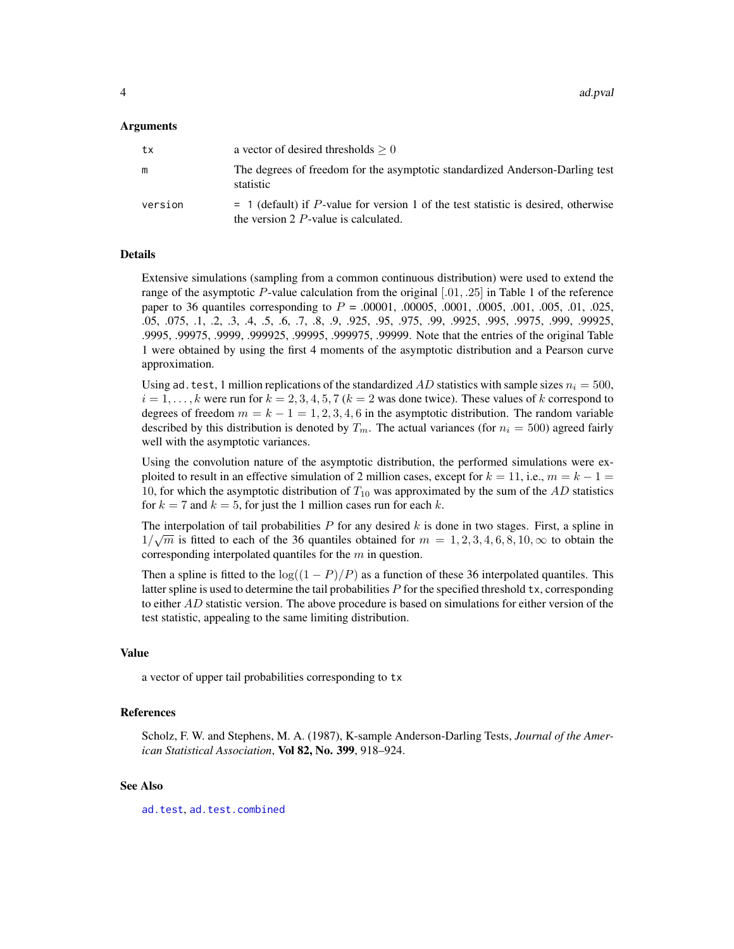<span id="page-3-0"></span>4 ad.pval and property  $\alpha$  and  $\alpha$  and  $\alpha$  and  $\alpha$  and  $\alpha$  and  $\alpha$  and  $\alpha$  and  $\alpha$  and  $\alpha$  and  $\alpha$  and  $\alpha$  and  $\alpha$  and  $\alpha$  and  $\alpha$  and  $\alpha$  and  $\alpha$  and  $\alpha$  and  $\alpha$  and  $\alpha$  and  $\alpha$  and  $\alpha$  and  $\alpha$  and

#### Arguments

| tx      | a vector of desired thresholds $\geq 0$                                                                                         |
|---------|---------------------------------------------------------------------------------------------------------------------------------|
| m       | The degrees of freedom for the asymptotic standardized Anderson-Darling test<br>statistic                                       |
| version | $=$ 1 (default) if P-value for version 1 of the test statistic is desired, otherwise<br>the version $2 P$ -value is calculated. |

#### Details

Extensive simulations (sampling from a common continuous distribution) were used to extend the range of the asymptotic P-value calculation from the original  $[0.01, 0.25]$  in Table 1 of the reference paper to 36 quantiles corresponding to  $P = .00001, .00005, .0001, .0005, .001, .005, .01, .025,$ .05, .075, .1, .2, .3, .4, .5, .6, .7, .8, .9, .925, .95, .975, .99, .9925, .995, .9975, .999, .99925, .9995, .99975, .9999, .999925, .99995, .999975, .99999. Note that the entries of the original Table 1 were obtained by using the first 4 moments of the asymptotic distribution and a Pearson curve approximation.

Using ad. test, 1 million replications of the standardized AD statistics with sample sizes  $n_i = 500$ ,  $i = 1, \ldots, k$  were run for  $k = 2, 3, 4, 5, 7$  ( $k = 2$  was done twice). These values of k correspond to degrees of freedom  $m = k - 1 = 1, 2, 3, 4, 6$  in the asymptotic distribution. The random variable described by this distribution is denoted by  $T_m$ . The actual variances (for  $n_i = 500$ ) agreed fairly well with the asymptotic variances.

Using the convolution nature of the asymptotic distribution, the performed simulations were exploited to result in an effective simulation of 2 million cases, except for  $k = 11$ , i.e.,  $m = k - 1 =$ 10, for which the asymptotic distribution of  $T_{10}$  was approximated by the sum of the AD statistics for  $k = 7$  and  $k = 5$ , for just the 1 million cases run for each k.

The interpolation of tail probabilities P for any desired k is done in two stages. First, a spline in  $1/\sqrt{m}$  is fitted to each of the 36 quantiles obtained for  $m = 1, 2, 3, 4, 6, 8, 10, \infty$  to obtain the corresponding interpolated quantiles for the  $m$  in question.

Then a spline is fitted to the  $\log((1 - P)/P)$  as a function of these 36 interpolated quantiles. This latter spline is used to determine the tail probabilities  $P$  for the specified threshold  $tx$ , corresponding to either  $AD$  statistic version. The above procedure is based on simulations for either version of the test statistic, appealing to the same limiting distribution.

#### Value

a vector of upper tail probabilities corresponding to tx

#### References

Scholz, F. W. and Stephens, M. A. (1987), K-sample Anderson-Darling Tests, *Journal of the American Statistical Association*, Vol 82, No. 399, 918–924.

#### See Also

[ad.test](#page-4-1), [ad.test.combined](#page-7-1)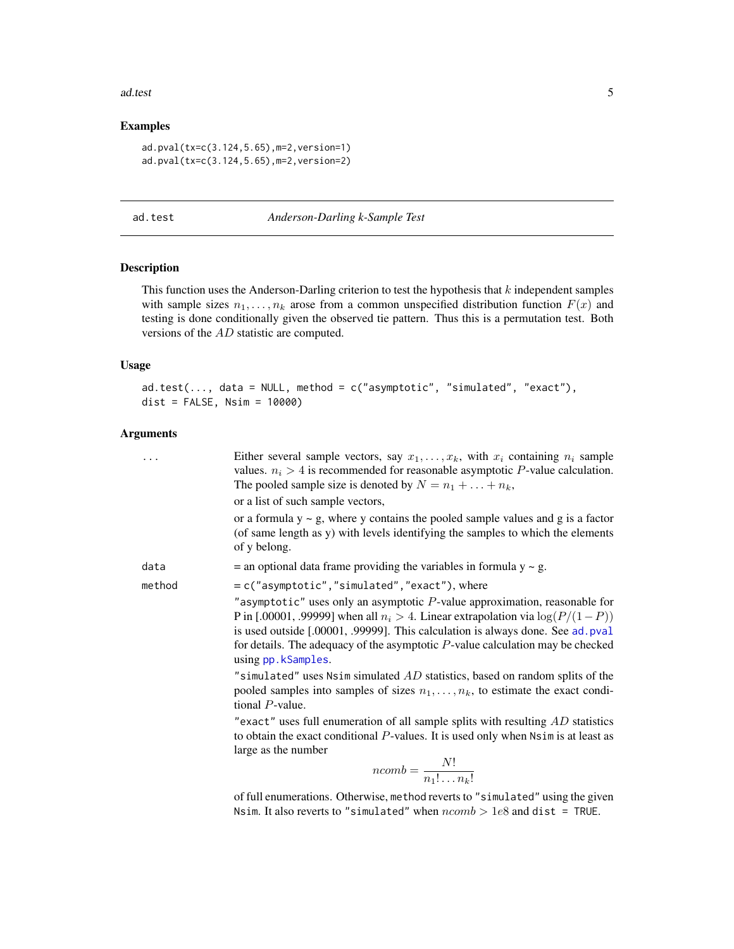#### <span id="page-4-0"></span>ad.test 5

#### Examples

ad.pval(tx=c(3.124,5.65),m=2,version=1) ad.pval(tx=c(3.124,5.65),m=2,version=2)

<span id="page-4-1"></span>ad.test *Anderson-Darling k-Sample Test*

#### Description

This function uses the Anderson-Darling criterion to test the hypothesis that  $k$  independent samples with sample sizes  $n_1, \ldots, n_k$  arose from a common unspecified distribution function  $F(x)$  and testing is done conditionally given the observed tie pattern. Thus this is a permutation test. Both versions of the AD statistic are computed.

#### Usage

```
ad.test(..., data = NULL, method = c("asymptotic", "simulated", "exact"),dist = FALSE, Nsim = 10000)
```
#### Arguments

|        | Either several sample vectors, say $x_1, \ldots, x_k$ , with $x_i$ containing $n_i$ sample<br>values. $n_i > 4$ is recommended for reasonable asymptotic P-value calculation.<br>The pooled sample size is denoted by $N = n_1 + \ldots + n_k$ ,                                                                                                                     |
|--------|----------------------------------------------------------------------------------------------------------------------------------------------------------------------------------------------------------------------------------------------------------------------------------------------------------------------------------------------------------------------|
|        | or a list of such sample vectors,                                                                                                                                                                                                                                                                                                                                    |
|        | or a formula $y \sim g$ , where y contains the pooled sample values and g is a factor<br>(of same length as y) with levels identifying the samples to which the elements<br>of y belong.                                                                                                                                                                             |
| data   | $=$ an optional data frame providing the variables in formula $y \sim g$ .                                                                                                                                                                                                                                                                                           |
| method | = c("asymptotic","simulated","exact"), where                                                                                                                                                                                                                                                                                                                         |
|        | "asymptotic" uses only an asymptotic $P$ -value approximation, reasonable for<br>P in [.00001, .99999] when all $n_i > 4$ . Linear extrapolation via $\log(P/(1 - P))$<br>is used outside [.00001, .99999]. This calculation is always done. See ad. pval<br>for details. The adequacy of the asymptotic $P$ -value calculation may be checked<br>using pp.kSamples. |
|        | "simulated" uses Nsim simulated $AD$ statistics, based on random splits of the<br>pooled samples into samples of sizes $n_1, \ldots, n_k$ , to estimate the exact condi-<br>tional $P$ -value.                                                                                                                                                                       |
|        | "exact" uses full enumeration of all sample splits with resulting $AD$ statistics<br>to obtain the exact conditional $P$ -values. It is used only when $N \sin n$ is at least as<br>large as the number                                                                                                                                                              |
|        | $ncomb = \frac{N!}{n_1! \dots n_k!}$                                                                                                                                                                                                                                                                                                                                 |

of full enumerations. Otherwise, method reverts to "simulated" using the given Nsim. It also reverts to "simulated" when  $ncomb > 1e8$  and dist = TRUE.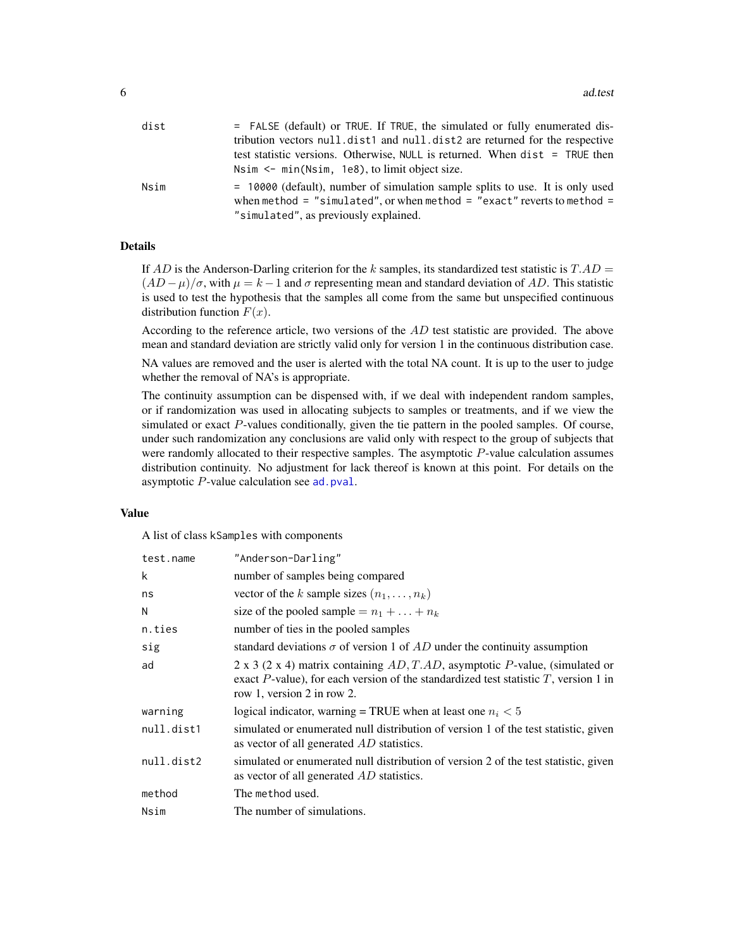| dist | = FALSE (default) or TRUE. If TRUE, the simulated or fully enumerated dis-                                                                                 |
|------|------------------------------------------------------------------------------------------------------------------------------------------------------------|
|      | tribution vectors null.dist1 and null.dist2 are returned for the respective                                                                                |
|      | test statistic versions. Otherwise, NULL is returned. When dist = TRUE then                                                                                |
|      | Nsim $\leq$ min(Nsim, 1e8), to limit object size.                                                                                                          |
| Nsim | $= 10000$ (default), number of simulation sample splits to use. It is only used<br>when method = "simulated", or when method = "exact" reverts to method = |
|      | "simulated", as previously explained.                                                                                                                      |

#### Details

If AD is the Anderson-Darling criterion for the k samples, its standardized test statistic is  $T.AD =$  $(AD - \mu)/\sigma$ , with  $\mu = k - 1$  and  $\sigma$  representing mean and standard deviation of AD. This statistic is used to test the hypothesis that the samples all come from the same but unspecified continuous distribution function  $F(x)$ .

According to the reference article, two versions of the AD test statistic are provided. The above mean and standard deviation are strictly valid only for version 1 in the continuous distribution case.

NA values are removed and the user is alerted with the total NA count. It is up to the user to judge whether the removal of NA's is appropriate.

The continuity assumption can be dispensed with, if we deal with independent random samples, or if randomization was used in allocating subjects to samples or treatments, and if we view the simulated or exact P-values conditionally, given the tie pattern in the pooled samples. Of course, under such randomization any conclusions are valid only with respect to the group of subjects that were randomly allocated to their respective samples. The asymptotic P-value calculation assumes distribution continuity. No adjustment for lack thereof is known at this point. For details on the asymptotic  $P$ -value calculation see [ad.pval](#page-2-1).

#### Value

A list of class kSamples with components

| test.name  | "Anderson-Darling"                                                                                                                                                                                         |
|------------|------------------------------------------------------------------------------------------------------------------------------------------------------------------------------------------------------------|
| k          | number of samples being compared                                                                                                                                                                           |
| ns         | vector of the k sample sizes $(n_1, \ldots, n_k)$                                                                                                                                                          |
| N          | size of the pooled sample = $n_1 +  + n_k$                                                                                                                                                                 |
| n.ties     | number of ties in the pooled samples                                                                                                                                                                       |
| sig        | standard deviations $\sigma$ of version 1 of AD under the continuity assumption                                                                                                                            |
| ad         | 2 x 3 (2 x 4) matrix containing $AD, T, AD$ , asymptotic P-value, (simulated or<br>exact $P$ -value), for each version of the standardized test statistic $T$ , version 1 in<br>row 1, version 2 in row 2. |
| warning    | logical indicator, warning = TRUE when at least one $n_i < 5$                                                                                                                                              |
| null.dist1 | simulated or enumerated null distribution of version 1 of the test statistic, given<br>as vector of all generated AD statistics.                                                                           |
| null.dist2 | simulated or enumerated null distribution of version 2 of the test statistic, given<br>as vector of all generated AD statistics.                                                                           |
| method     | The method used.                                                                                                                                                                                           |
| Nsim       | The number of simulations.                                                                                                                                                                                 |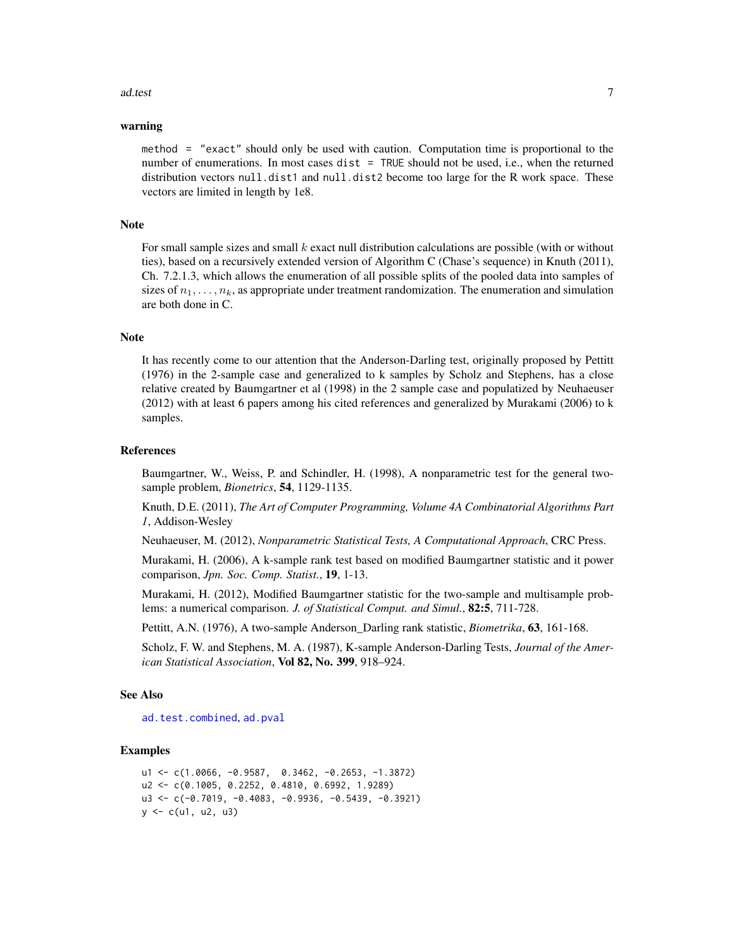#### <span id="page-6-0"></span>ad.test 7

#### warning

method = "exact" should only be used with caution. Computation time is proportional to the number of enumerations. In most cases dist = TRUE should not be used, i.e., when the returned distribution vectors null.dist1 and null.dist2 become too large for the R work space. These vectors are limited in length by 1e8.

#### Note

For small sample sizes and small  $k$  exact null distribution calculations are possible (with or without ties), based on a recursively extended version of Algorithm C (Chase's sequence) in Knuth (2011), Ch. 7.2.1.3, which allows the enumeration of all possible splits of the pooled data into samples of sizes of  $n_1, \ldots, n_k$ , as appropriate under treatment randomization. The enumeration and simulation are both done in C.

#### Note

It has recently come to our attention that the Anderson-Darling test, originally proposed by Pettitt (1976) in the 2-sample case and generalized to k samples by Scholz and Stephens, has a close relative created by Baumgartner et al (1998) in the 2 sample case and populatized by Neuhaeuser (2012) with at least 6 papers among his cited references and generalized by Murakami (2006) to k samples.

#### References

Baumgartner, W., Weiss, P. and Schindler, H. (1998), A nonparametric test for the general twosample problem, *Bionetrics*, 54, 1129-1135.

Knuth, D.E. (2011), *The Art of Computer Programming, Volume 4A Combinatorial Algorithms Part 1*, Addison-Wesley

Neuhaeuser, M. (2012), *Nonparametric Statistical Tests, A Computational Approach*, CRC Press.

Murakami, H. (2006), A k-sample rank test based on modified Baumgartner statistic and it power comparison, *Jpn. Soc. Comp. Statist.*, 19, 1-13.

Murakami, H. (2012), Modified Baumgartner statistic for the two-sample and multisample problems: a numerical comparison. *J. of Statistical Comput. and Simul.*, 82:5, 711-728.

Pettitt, A.N. (1976), A two-sample Anderson\_Darling rank statistic, *Biometrika*, 63, 161-168.

Scholz, F. W. and Stephens, M. A. (1987), K-sample Anderson-Darling Tests, *Journal of the American Statistical Association*, Vol 82, No. 399, 918–924.

#### See Also

[ad.test.combined](#page-7-1), [ad.pval](#page-2-1)

#### Examples

```
u1 <- c(1.0066, -0.9587, 0.3462, -0.2653, -1.3872)
u2 <- c(0.1005, 0.2252, 0.4810, 0.6992, 1.9289)
u3 <- c(-0.7019, -0.4083, -0.9936, -0.5439, -0.3921)
y \leq c(u1, u2, u3)
```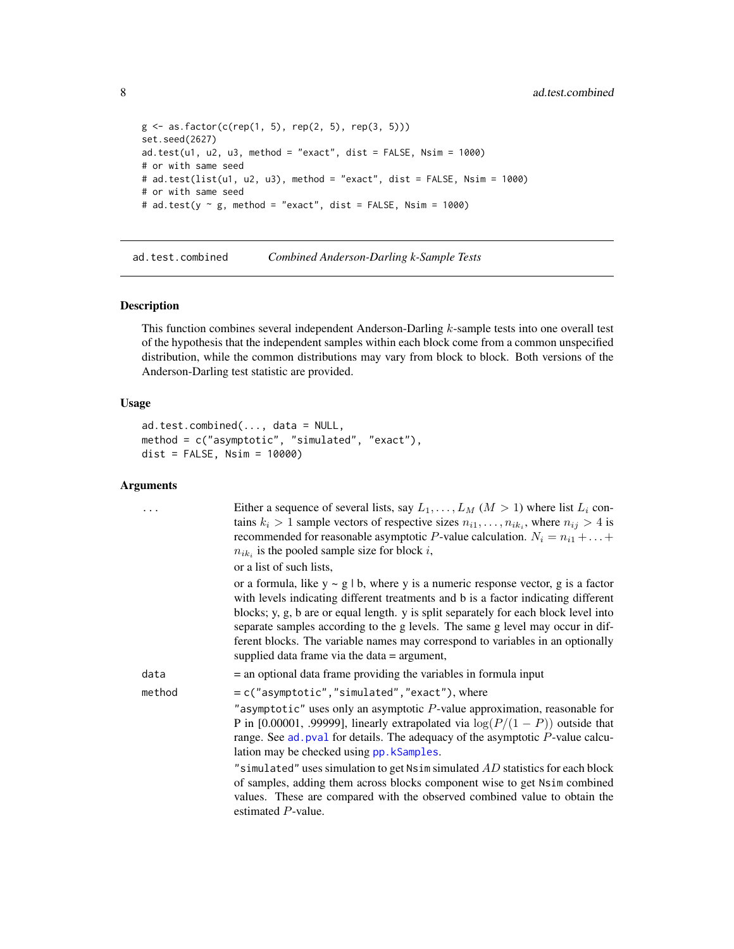```
g \le - as.factor(c(rep(1, 5), rep(2, 5), rep(3, 5)))
set.seed(2627)
ad.test( u1, u2, u3, method = "exact", dist = FALSE, Nsim = 1000)# or with same seed
# ad.test(list(u1, u2, u3), method = "exact", dist = FALSE, Nsim = 1000)
# or with same seed
# ad.test(y \sim g, method = "exact", dist = FALSE, Nsim = 1000)
```
<span id="page-7-1"></span>ad.test.combined *Combined Anderson-Darling k-Sample Tests*

#### Description

This function combines several independent Anderson-Darling k-sample tests into one overall test of the hypothesis that the independent samples within each block come from a common unspecified distribution, while the common distributions may vary from block to block. Both versions of the Anderson-Darling test statistic are provided.

#### Usage

```
ad.test.combined(..., data = NULL,
method = c("asymptotic", "simulated", "exact"),
dist = FALSE, Nsim = 10000)
```

|        | Either a sequence of several lists, say $L_1, \ldots, L_M$ $(M > 1)$ where list $L_i$ con-<br>tains $k_i > 1$ sample vectors of respective sizes $n_{i1}, \ldots, n_{ik_i}$ , where $n_{ij} > 4$ is<br>recommended for reasonable asymptotic P-value calculation. $N_i = n_{i1} +  +$<br>$n_{ik_i}$ is the pooled sample size for block i,                                                                                                                                                  |
|--------|---------------------------------------------------------------------------------------------------------------------------------------------------------------------------------------------------------------------------------------------------------------------------------------------------------------------------------------------------------------------------------------------------------------------------------------------------------------------------------------------|
|        | or a list of such lists,                                                                                                                                                                                                                                                                                                                                                                                                                                                                    |
|        | or a formula, like $y \sim g / b$ , where y is a numeric response vector, g is a factor<br>with levels indicating different treatments and b is a factor indicating different<br>blocks; y, g, b are or equal length. y is split separately for each block level into<br>separate samples according to the g levels. The same g level may occur in dif-<br>ferent blocks. The variable names may correspond to variables in an optionally<br>supplied data frame via the data $=$ argument, |
| data   | $=$ an optional data frame providing the variables in formula input                                                                                                                                                                                                                                                                                                                                                                                                                         |
| method | $= c("asymptotic", "simulated", "exact"), where$<br>"asymptotic" uses only an asymptotic $P$ -value approximation, reasonable for<br>P in [0.00001, .99999], linearly extrapolated via $\log(P/(1 - P))$ outside that<br>range. See $ad$ , $pval$ for details. The adequacy of the asymptotic $P$ -value calcu-<br>lation may be checked using pp. kSamples.                                                                                                                                |
|        | "simulated" uses simulation to get Nsim simulated $AD$ statistics for each block<br>of samples, adding them across blocks component wise to get Nsim combined<br>values. These are compared with the observed combined value to obtain the<br>estimated P-value.                                                                                                                                                                                                                            |

<span id="page-7-0"></span>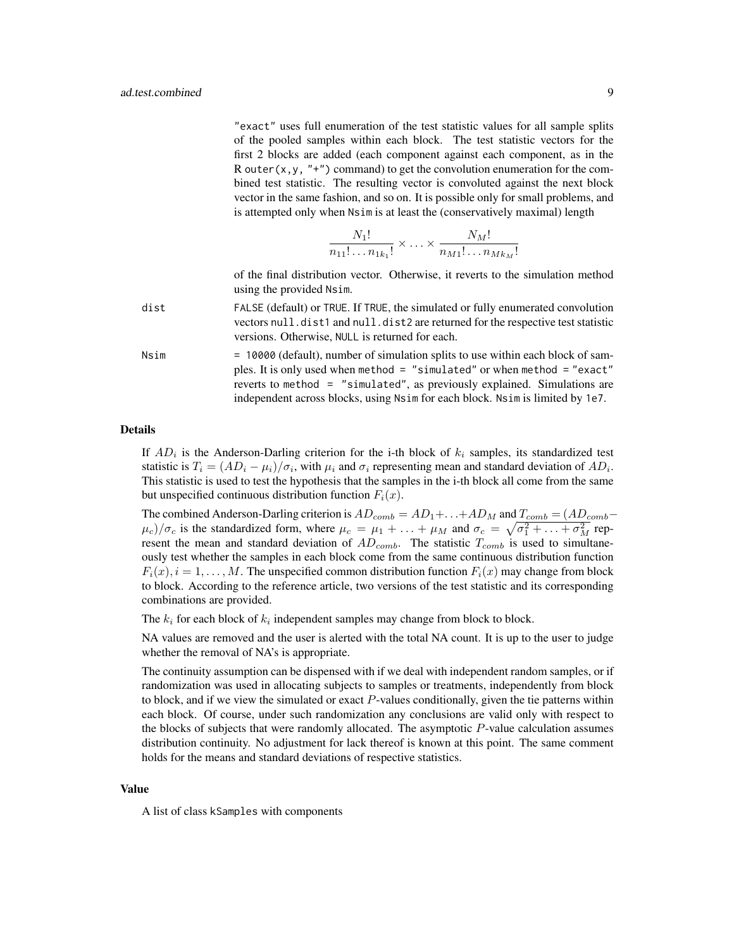"exact" uses full enumeration of the test statistic values for all sample splits of the pooled samples within each block. The test statistic vectors for the first 2 blocks are added (each component against each component, as in the R outer(x, y, "+") command) to get the convolution enumeration for the combined test statistic. The resulting vector is convoluted against the next block vector in the same fashion, and so on. It is possible only for small problems, and is attempted only when Nsim is at least the (conservatively maximal) length

$$
\frac{N_1!}{n_{11}!\dots n_{1k_1}!} \times \dots \times \frac{N_M!}{n_{M1}!\dots n_{Mk_M}!}
$$

of the final distribution vector. Otherwise, it reverts to the simulation method using the provided Nsim.

- dist FALSE (default) or TRUE. If TRUE, the simulated or fully enumerated convolution vectors null.dist1 and null.dist2 are returned for the respective test statistic versions. Otherwise, NULL is returned for each.
- Nsim = 10000 (default), number of simulation splits to use within each block of samples. It is only used when method = "simulated" or when method = "exact" reverts to method = "simulated", as previously explained. Simulations are independent across blocks, using Nsim for each block. Nsim is limited by 1e7.

#### Details

If  $AD_i$  is the Anderson-Darling criterion for the i-th block of  $k_i$  samples, its standardized test statistic is  $T_i = (AD_i - \mu_i)/\sigma_i$ , with  $\mu_i$  and  $\sigma_i$  representing mean and standard deviation of  $AD_i$ . This statistic is used to test the hypothesis that the samples in the i-th block all come from the same but unspecified continuous distribution function  $F_i(x)$ .

The combined Anderson-Darling criterion is  $AD_{comb} = AD_1 + \ldots + AD_M$  and  $T_{comb} = (AD_{comb} (\mu_c)/\sigma_c$  is the standardized form, where  $\mu_c = \mu_1 + \ldots + \mu_M$  and  $\sigma_c = \sqrt{\sigma_1^2 + \ldots + \sigma_M^2}$  represent the mean and standard deviation of  $AD_{comb}$ . The statistic  $T_{comb}$  is used to simultaneously test whether the samples in each block come from the same continuous distribution function  $F_i(x)$ ,  $i = 1, \ldots, M$ . The unspecified common distribution function  $F_i(x)$  may change from block to block. According to the reference article, two versions of the test statistic and its corresponding combinations are provided.

The  $k_i$  for each block of  $k_i$  independent samples may change from block to block.

NA values are removed and the user is alerted with the total NA count. It is up to the user to judge whether the removal of NA's is appropriate.

The continuity assumption can be dispensed with if we deal with independent random samples, or if randomization was used in allocating subjects to samples or treatments, independently from block to block, and if we view the simulated or exact  $P$ -values conditionally, given the tie patterns within each block. Of course, under such randomization any conclusions are valid only with respect to the blocks of subjects that were randomly allocated. The asymptotic P-value calculation assumes distribution continuity. No adjustment for lack thereof is known at this point. The same comment holds for the means and standard deviations of respective statistics.

#### Value

A list of class kSamples with components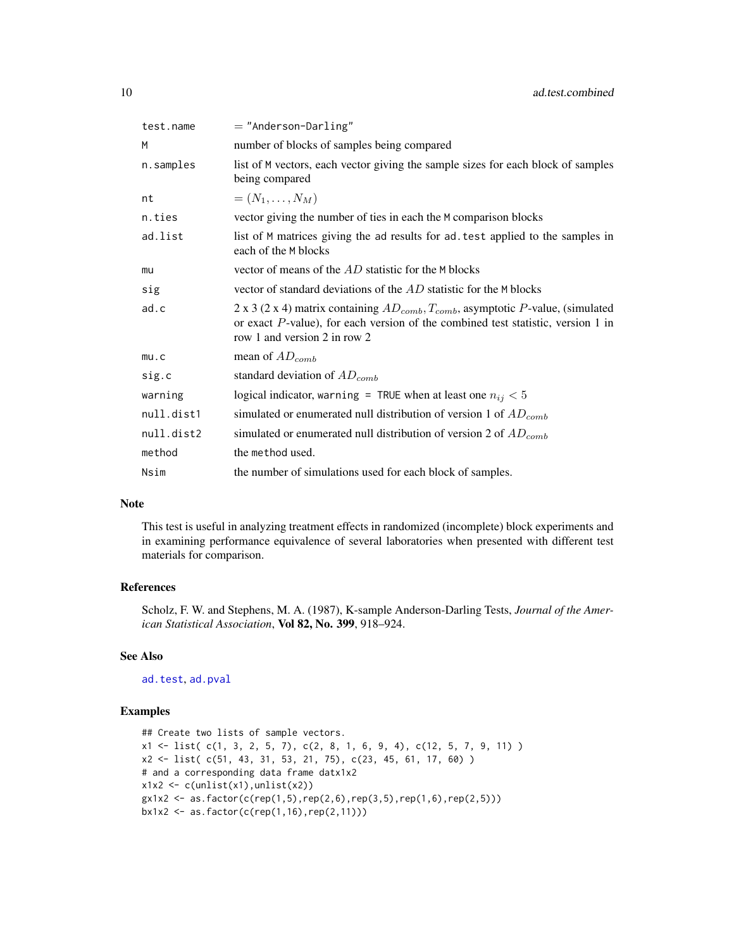<span id="page-9-0"></span>

| test.name  | $=$ "Anderson-Darling"                                                                                                                                                                                           |
|------------|------------------------------------------------------------------------------------------------------------------------------------------------------------------------------------------------------------------|
| М          | number of blocks of samples being compared                                                                                                                                                                       |
| n.samples  | list of M vectors, each vector giving the sample sizes for each block of samples<br>being compared                                                                                                               |
| nt         | $=(N_1,\ldots,N_M)$                                                                                                                                                                                              |
| n.ties     | vector giving the number of ties in each the M comparison blocks                                                                                                                                                 |
| ad.list    | list of M matrices giving the ad results for ad. test applied to the samples in<br>each of the M blocks                                                                                                          |
| mu         | vector of means of the AD statistic for the M blocks                                                                                                                                                             |
| sig        | vector of standard deviations of the AD statistic for the M blocks                                                                                                                                               |
| ad.c       | 2 x 3 (2 x 4) matrix containing $AD_{comb}$ , $T_{comb}$ , asymptotic P-value, (simulated<br>or exact $P$ -value), for each version of the combined test statistic, version 1 in<br>row 1 and version 2 in row 2 |
| mu.c       | mean of $AD_{comb}$                                                                                                                                                                                              |
| sig.c      | standard deviation of $AD_{comb}$                                                                                                                                                                                |
| warning    | logical indicator, warning = TRUE when at least one $n_{ij} < 5$                                                                                                                                                 |
| null.dist1 | simulated or enumerated null distribution of version 1 of $AD_{comb}$                                                                                                                                            |
| null.dist2 | simulated or enumerated null distribution of version 2 of $AD_{comb}$                                                                                                                                            |
| method     | the method used.                                                                                                                                                                                                 |
| Nsim       | the number of simulations used for each block of samples.                                                                                                                                                        |

#### Note

This test is useful in analyzing treatment effects in randomized (incomplete) block experiments and in examining performance equivalence of several laboratories when presented with different test materials for comparison.

#### References

Scholz, F. W. and Stephens, M. A. (1987), K-sample Anderson-Darling Tests, *Journal of the American Statistical Association*, Vol 82, No. 399, 918–924.

#### See Also

[ad.test](#page-4-1), [ad.pval](#page-2-1)

### Examples

```
## Create two lists of sample vectors.
x1 \leftarrow list( c(1, 3, 2, 5, 7), c(2, 8, 1, 6, 9, 4), c(12, 5, 7, 9, 11))
x2 <- list( c(51, 43, 31, 53, 21, 75), c(23, 45, 61, 17, 60) )
# and a corresponding data frame datx1x2
x1x2 \leftarrow c(unlist(x1),unlist(x2))gx1x2 \leq -as.factor(c(rep(1,5),rep(2,6),rep(3,5),rep(1,6),rep(2,5)))bx1x2 \leq -as.factor(c(rep(1,16),rep(2,11)))
```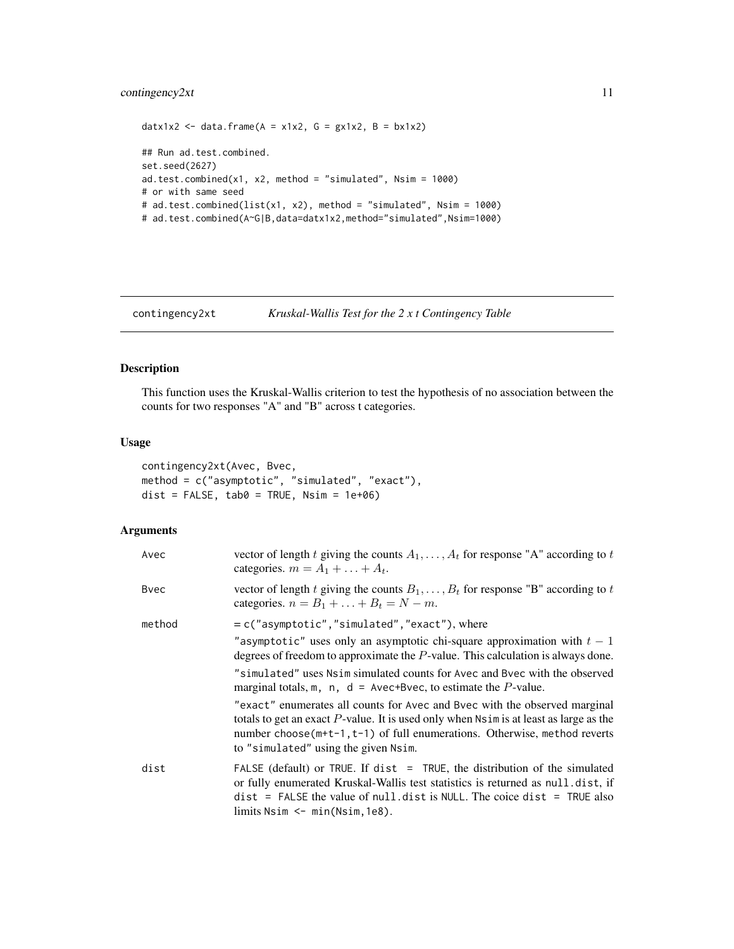#### <span id="page-10-0"></span>contingency2xt 11

```
datx1x2 <- data.frame(A = x1x2, G = gx1x2, B = bx1x2)
## Run ad.test.combined.
set.seed(2627)
ad.test.combined(x1, x2, method = "simulated", Nsim = 1000)
# or with same seed
# ad.test.combined(list(x1, x2), method = "simulated", Nsim = 1000)
# ad.test.combined(A~G|B,data=datx1x2,method="simulated",Nsim=1000)
```
<span id="page-10-1"></span>contingency2xt *Kruskal-Wallis Test for the 2 x t Contingency Table*

### Description

This function uses the Kruskal-Wallis criterion to test the hypothesis of no association between the counts for two responses "A" and "B" across t categories.

#### Usage

```
contingency2xt(Avec, Bvec,
method = c("asymptotic", "simulated", "exact"),
dist = FALSE, tab0 = TRUE, Nsim = 1e+06)
```

| Avec   | vector of length t giving the counts $A_1, \ldots, A_t$ for response "A" according to t<br>categories. $m = A_1 + \ldots + A_t$ .                                                                                                                                                                    |
|--------|------------------------------------------------------------------------------------------------------------------------------------------------------------------------------------------------------------------------------------------------------------------------------------------------------|
| Byec   | vector of length t giving the counts $B_1, \ldots, B_t$ for response "B" according to t<br>categories. $n = B_1 + \ldots + B_t = N - m$ .                                                                                                                                                            |
| method | $= c("asymptotic", "simulated", "exact"), where$                                                                                                                                                                                                                                                     |
|        | "asymptotic" uses only an asymptotic chi-square approximation with $t-1$<br>degrees of freedom to approximate the P-value. This calculation is always done.                                                                                                                                          |
|        | "simulated" uses Nsim simulated counts for Avec and Byec with the observed<br>marginal totals, m, n, $d =$ Avec+Bvec, to estimate the P-value.                                                                                                                                                       |
|        | "exact" enumerates all counts for Avec and Bvec with the observed marginal<br>totals to get an exact $P$ -value. It is used only when $N \sin i$ is at least as large as the<br>number choose $(m+t-1, t-1)$ of full enumerations. Otherwise, method reverts<br>to "simulated" using the given Nsim. |
| dist   | FALSE (default) or TRUE. If dist = TRUE, the distribution of the simulated<br>or fully enumerated Kruskal-Wallis test statistics is returned as null dist, if<br>$dist$ = FALSE the value of null. dist is NULL. The coice dist = TRUE also<br>$\lim$ its Nsim $\leq -\min(\text{Nsim}, 1e8)$ .      |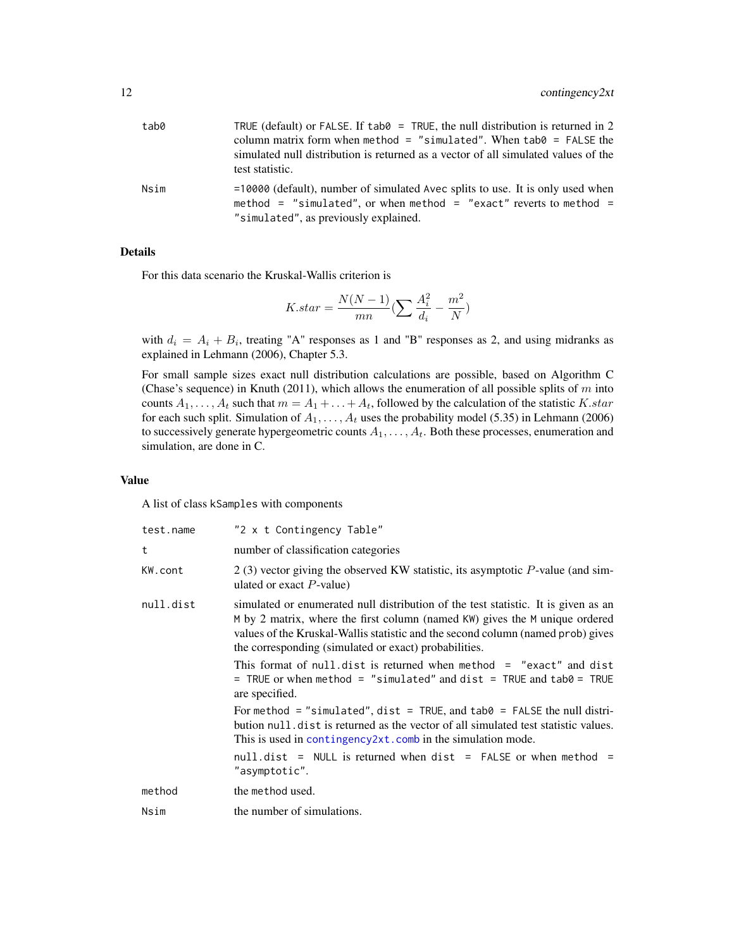<span id="page-11-0"></span>

| tab0 | TRUE (default) or FALSE. If tab $\theta$ = TRUE, the null distribution is returned in 2<br>column matrix form when method = "simulated". When tab $\theta$ = FALSE the<br>simulated null distribution is returned as a vector of all simulated values of the<br>test statistic. |
|------|---------------------------------------------------------------------------------------------------------------------------------------------------------------------------------------------------------------------------------------------------------------------------------|
| Nsim | $=10000$ (default), number of simulated Avec splits to use. It is only used when<br>method = "simulated", or when method = "exact" reverts to method =<br>"simulated", as previously explained.                                                                                 |

#### Details

For this data scenario the Kruskal-Wallis criterion is

$$
K.start = \frac{N(N-1)}{mn} \left(\sum \frac{A_i^2}{d_i} - \frac{m^2}{N}\right)
$$

with  $d_i = A_i + B_i$ , treating "A" responses as 1 and "B" responses as 2, and using midranks as explained in Lehmann (2006), Chapter 5.3.

For small sample sizes exact null distribution calculations are possible, based on Algorithm C (Chase's sequence) in Knuth (2011), which allows the enumeration of all possible splits of  $m$  into counts  $A_1, \ldots, A_t$  such that  $m = A_1 + \ldots + A_t$ , followed by the calculation of the statistic K.star for each such split. Simulation of  $A_1, \ldots, A_t$  uses the probability model (5.35) in Lehmann (2006) to successively generate hypergeometric counts  $A_1, \ldots, A_t$ . Both these processes, enumeration and simulation, are done in C.

#### Value

A list of class kSamples with components

| test.name | "2 x t Contingency Table"                                                                                                                                                                                                                                                                                     |
|-----------|---------------------------------------------------------------------------------------------------------------------------------------------------------------------------------------------------------------------------------------------------------------------------------------------------------------|
| t         | number of classification categories                                                                                                                                                                                                                                                                           |
| KW.cont   | 2(3) vector giving the observed KW statistic, its asymptotic $P$ -value (and sim-<br>ulated or exact $P$ -value)                                                                                                                                                                                              |
| null.dist | simulated or enumerated null distribution of the test statistic. It is given as an<br>M by 2 matrix, where the first column (named KW) gives the M unique ordered<br>values of the Kruskal-Wallis statistic and the second column (named prob) gives<br>the corresponding (simulated or exact) probabilities. |
|           | This format of null.dist is returned when method = "exact" and dist<br>= TRUE or when method = "simulated" and dist = TRUE and tab0 = TRUE<br>are specified.                                                                                                                                                  |
|           | For method = "simulated", dist = TRUE, and tab0 = FALSE the null distri-<br>bution nullelest is returned as the vector of all simulated test statistic values.<br>This is used in contingency $2xt$ . comb in the simulation mode.                                                                            |
|           | $null.dist = NULL$ is returned when dist = FALSE or when method =<br>"asymptotic".                                                                                                                                                                                                                            |
| method    | the method used.                                                                                                                                                                                                                                                                                              |
| Nsim      | the number of simulations.                                                                                                                                                                                                                                                                                    |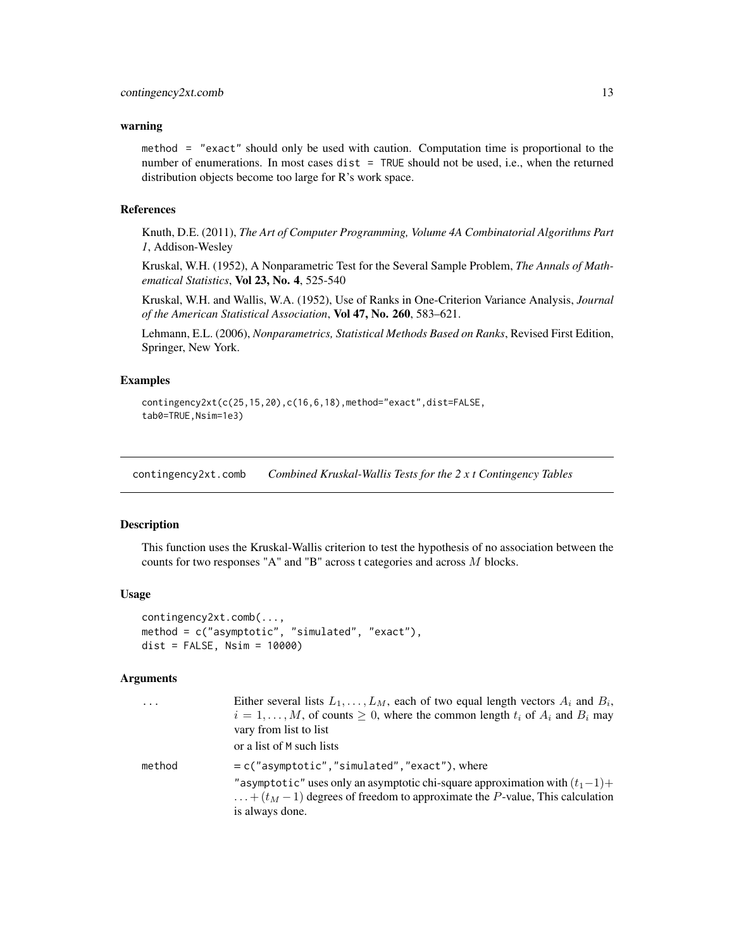#### <span id="page-12-0"></span>warning

method = "exact" should only be used with caution. Computation time is proportional to the number of enumerations. In most cases dist = TRUE should not be used, i.e., when the returned distribution objects become too large for R's work space.

#### References

Knuth, D.E. (2011), *The Art of Computer Programming, Volume 4A Combinatorial Algorithms Part 1*, Addison-Wesley

Kruskal, W.H. (1952), A Nonparametric Test for the Several Sample Problem, *The Annals of Mathematical Statistics*, Vol 23, No. 4, 525-540

Kruskal, W.H. and Wallis, W.A. (1952), Use of Ranks in One-Criterion Variance Analysis, *Journal of the American Statistical Association*, Vol 47, No. 260, 583–621.

Lehmann, E.L. (2006), *Nonparametrics, Statistical Methods Based on Ranks*, Revised First Edition, Springer, New York.

#### Examples

```
contingency2xt(c(25,15,20),c(16,6,18),method="exact",dist=FALSE,
tab0=TRUE,Nsim=1e3)
```
<span id="page-12-1"></span>contingency2xt.comb *Combined Kruskal-Wallis Tests for the 2 x t Contingency Tables*

#### Description

This function uses the Kruskal-Wallis criterion to test the hypothesis of no association between the counts for two responses "A" and "B" across t categories and across M blocks.

#### Usage

```
contingency2xt.comb(...,
method = c("asymptotic", "simulated", "exact"),
dist = FALSE, Nsim = 10000)
```

| $\cdots$ | Either several lists $L_1, \ldots, L_M$ , each of two equal length vectors $A_i$ and $B_i$ ,<br>$i = 1, \ldots, M$ , of counts $\geq 0$ , where the common length $t_i$ of $A_i$ and $B_i$ may<br>vary from list to list<br>or a list of M such lists |
|----------|-------------------------------------------------------------------------------------------------------------------------------------------------------------------------------------------------------------------------------------------------------|
| method   | $= c("asymptotic", "simulated", "exact"), where$<br>"asymptotic" uses only an asymptotic chi-square approximation with $(t_1-1)+$<br>$\dots+(t_M-1)$ degrees of freedom to approximate the P-value, This calculation<br>is always done.               |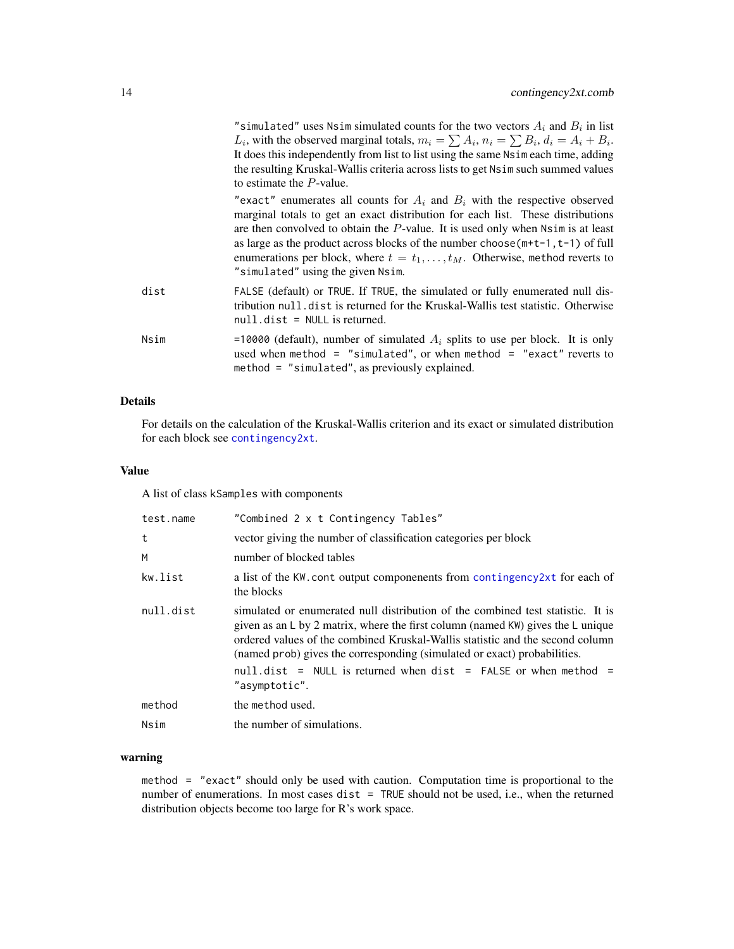<span id="page-13-0"></span>"simulated" uses Nsim simulated counts for the two vectors  $A_i$  and  $B_i$  in list  $L_i$ , with the observed marginal totals,  $m_i = \sum A_i$ ,  $n_i = \sum B_i$ ,  $d_i = A_i + B_i$ . It does this independently from list to list using the same Nsim each time, adding the resulting Kruskal-Wallis criteria across lists to get Nsim such summed values to estimate the P-value.

"exact" enumerates all counts for  $A_i$  and  $B_i$  with the respective observed marginal totals to get an exact distribution for each list. These distributions are then convolved to obtain the  $P$ -value. It is used only when  $Nsim$  is at least as large as the product across blocks of the number choose  $(m+t-1, t-1)$  of full enumerations per block, where  $t = t_1, \ldots, t_M$ . Otherwise, method reverts to "simulated" using the given Nsim.

- dist FALSE (default) or TRUE. If TRUE, the simulated or fully enumerated null distribution null.dist is returned for the Kruskal-Wallis test statistic. Otherwise null.dist = NULL is returned.
- Nsim  $=10000$  (default), number of simulated  $A_i$  splits to use per block. It is only used when method = "simulated", or when method = "exact" reverts to method = "simulated", as previously explained.

#### Details

For details on the calculation of the Kruskal-Wallis criterion and its exact or simulated distribution for each block see [contingency2xt](#page-10-1).

#### Value

A list of class kSamples with components

| test.name | "Combined 2 x t Contingency Tables"                                                                                                                                                                                                                                                                                                                   |
|-----------|-------------------------------------------------------------------------------------------------------------------------------------------------------------------------------------------------------------------------------------------------------------------------------------------------------------------------------------------------------|
| t         | vector giving the number of classification categories per block                                                                                                                                                                                                                                                                                       |
| M         | number of blocked tables                                                                                                                                                                                                                                                                                                                              |
| kw.list   | a list of the KW, cont output componenents from contingency 2xt for each of<br>the blocks                                                                                                                                                                                                                                                             |
| null.dist | simulated or enumerated null distribution of the combined test statistic. It is<br>given as an $\mathsf{L}$ by 2 matrix, where the first column (named KW) gives the $\mathsf{L}$ unique<br>ordered values of the combined Kruskal-Wallis statistic and the second column<br>(named prob) gives the corresponding (simulated or exact) probabilities. |
|           | null.dist = NULL is returned when dist = FALSE or when method =<br>"asymptotic".                                                                                                                                                                                                                                                                      |
| method    | the method used.                                                                                                                                                                                                                                                                                                                                      |
| Nsim      | the number of simulations.                                                                                                                                                                                                                                                                                                                            |

#### warning

method = "exact" should only be used with caution. Computation time is proportional to the number of enumerations. In most cases dist = TRUE should not be used, i.e., when the returned distribution objects become too large for R's work space.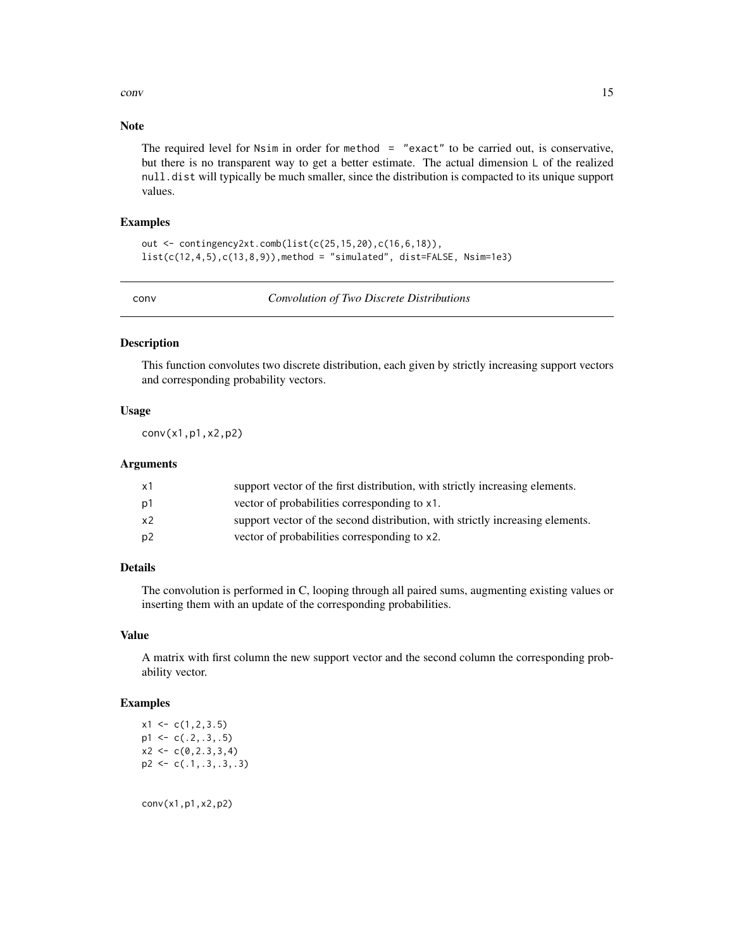<span id="page-14-0"></span>conv and the convention of the convention of the convention of the convention of the convention of the convention of the convention of the convention of the convention of the convention of the convention of the convention

#### Note

The required level for Nsim in order for method = "exact" to be carried out, is conservative, but there is no transparent way to get a better estimate. The actual dimension L of the realized null.dist will typically be much smaller, since the distribution is compacted to its unique support values.

#### Examples

```
out <- contingency2xt.comb(list(c(25,15,20),c(16,6,18)),
list(c(12,4,5),c(13,8,9)), method = "simulated", dist=FALSE, Nsim=1e3)
```
conv *Convolution of Two Discrete Distributions*

#### Description

This function convolutes two discrete distribution, each given by strictly increasing support vectors and corresponding probability vectors.

#### Usage

conv(x1,p1,x2,p2)

#### Arguments

| x1 | support vector of the first distribution, with strictly increasing elements.  |
|----|-------------------------------------------------------------------------------|
| p1 | vector of probabilities corresponding to x1.                                  |
| x2 | support vector of the second distribution, with strictly increasing elements. |
| p2 | vector of probabilities corresponding to x2.                                  |

### Details

The convolution is performed in C, looping through all paired sums, augmenting existing values or inserting them with an update of the corresponding probabilities.

#### Value

A matrix with first column the new support vector and the second column the corresponding probability vector.

#### Examples

 $x1 \leftarrow c(1, 2, 3.5)$  $p1 \leftarrow c(.2,.3,.5)$  $x2 \leftarrow c(0, 2.3, 3, 4)$ p2 <- c(.1,.3,.3,.3)

conv(x1,p1,x2,p2)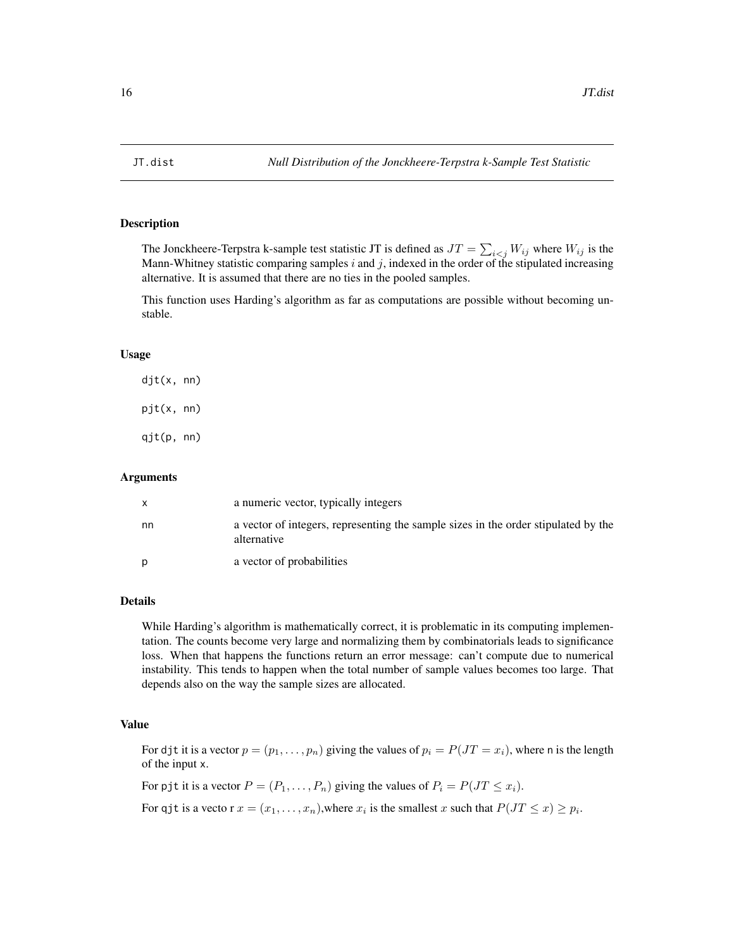<span id="page-15-0"></span>

#### **Description**

The Jonckheere-Terpstra k-sample test statistic JT is defined as  $JT = \sum_{i \leq j} W_{ij}$  where  $W_{ij}$  is the Mann-Whitney statistic comparing samples  $i$  and  $j$ , indexed in the order of the stipulated increasing alternative. It is assumed that there are no ties in the pooled samples.

This function uses Harding's algorithm as far as computations are possible without becoming unstable.

#### Usage

djt(x, nn) pjt(x, nn) qjt(p, nn)

#### Arguments

|    | a numeric vector, typically integers                                                              |
|----|---------------------------------------------------------------------------------------------------|
| nn | a vector of integers, representing the sample sizes in the order stipulated by the<br>alternative |
| D  | a vector of probabilities                                                                         |

#### Details

While Harding's algorithm is mathematically correct, it is problematic in its computing implementation. The counts become very large and normalizing them by combinatorials leads to significance loss. When that happens the functions return an error message: can't compute due to numerical instability. This tends to happen when the total number of sample values becomes too large. That depends also on the way the sample sizes are allocated.

#### Value

For djt it is a vector  $p = (p_1, \ldots, p_n)$  giving the values of  $p_i = P(JT = x_i)$ , where n is the length of the input x.

For pjt it is a vector  $P = (P_1, \ldots, P_n)$  giving the values of  $P_i = P(JT \leq x_i)$ .

For qjt is a vecto r  $x = (x_1, \ldots, x_n)$ , where  $x_i$  is the smallest x such that  $P(JT \le x) \ge p_i$ .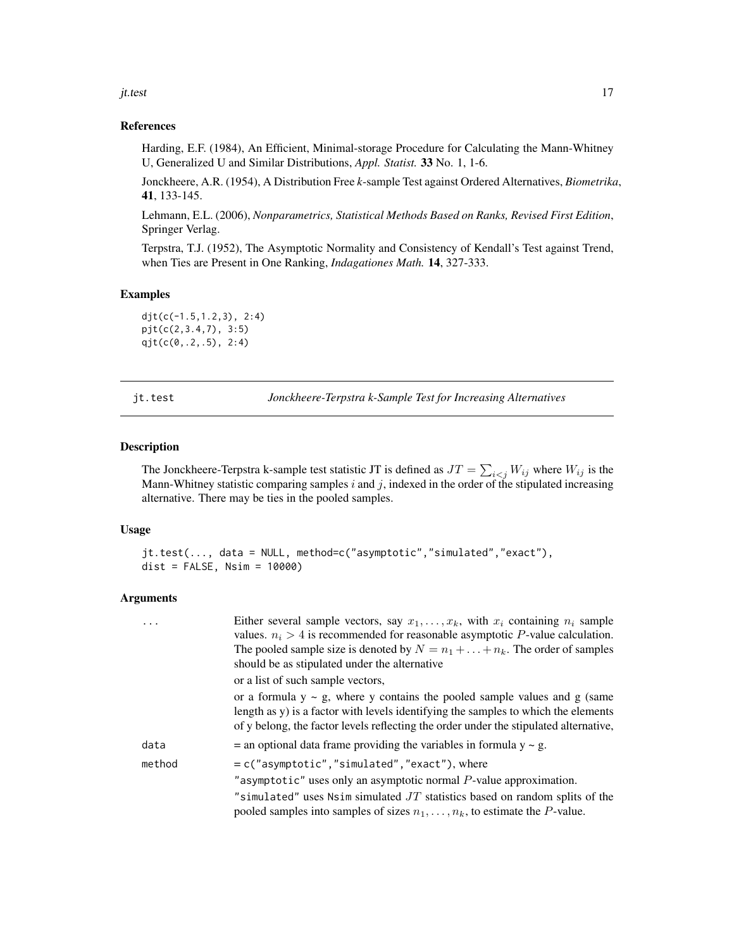#### <span id="page-16-0"></span>jt.test 17

#### References

Harding, E.F. (1984), An Efficient, Minimal-storage Procedure for Calculating the Mann-Whitney U, Generalized U and Similar Distributions, *Appl. Statist.* 33 No. 1, 1-6.

Jonckheere, A.R. (1954), A Distribution Free *k*-sample Test against Ordered Alternatives, *Biometrika*, 41, 133-145.

Lehmann, E.L. (2006), *Nonparametrics, Statistical Methods Based on Ranks, Revised First Edition*, Springer Verlag.

Terpstra, T.J. (1952), The Asymptotic Normality and Consistency of Kendall's Test against Trend, when Ties are Present in One Ranking, *Indagationes Math.* 14, 327-333.

#### Examples

djt(c(-1.5,1.2,3), 2:4) pjt(c(2,3.4,7), 3:5) qjt(c(0,.2,.5), 2:4)

<span id="page-16-1"></span>

jt.test *Jonckheere-Terpstra k-Sample Test for Increasing Alternatives*

#### Description

The Jonckheere-Terpstra k-sample test statistic JT is defined as  $JT = \sum_{i \leq j} W_{ij}$  where  $W_{ij}$  is the Mann-Whitney statistic comparing samples  $i$  and  $j$ , indexed in the order of the stipulated increasing alternative. There may be ties in the pooled samples.

#### Usage

jt.test(..., data = NULL, method=c("asymptotic","simulated","exact"), dist = FALSE, Nsim = 10000)

| .      | Either several sample vectors, say $x_1, \ldots, x_k$ , with $x_i$ containing $n_i$ sample<br>values. $n_i > 4$ is recommended for reasonable asymptotic P-value calculation.<br>The pooled sample size is denoted by $N = n_1 + \ldots + n_k$ . The order of samples |
|--------|-----------------------------------------------------------------------------------------------------------------------------------------------------------------------------------------------------------------------------------------------------------------------|
|        | should be as stipulated under the alternative                                                                                                                                                                                                                         |
|        | or a list of such sample vectors,                                                                                                                                                                                                                                     |
|        | or a formula $y \sim g$ , where y contains the pooled sample values and g (same<br>length as y) is a factor with levels identifying the samples to which the elements<br>of y belong, the factor levels reflecting the order under the stipulated alternative,        |
| data   | $=$ an optional data frame providing the variables in formula $y \sim g$ .                                                                                                                                                                                            |
| method | $= c("asymptotic", "simulated", "exact"), where$                                                                                                                                                                                                                      |
|        | "asymptotic" uses only an asymptotic normal $P$ -value approximation.                                                                                                                                                                                                 |
|        | "simulated" uses Nsim simulated $JT$ statistics based on random splits of the<br>pooled samples into samples of sizes $n_1, \ldots, n_k$ , to estimate the P-value.                                                                                                   |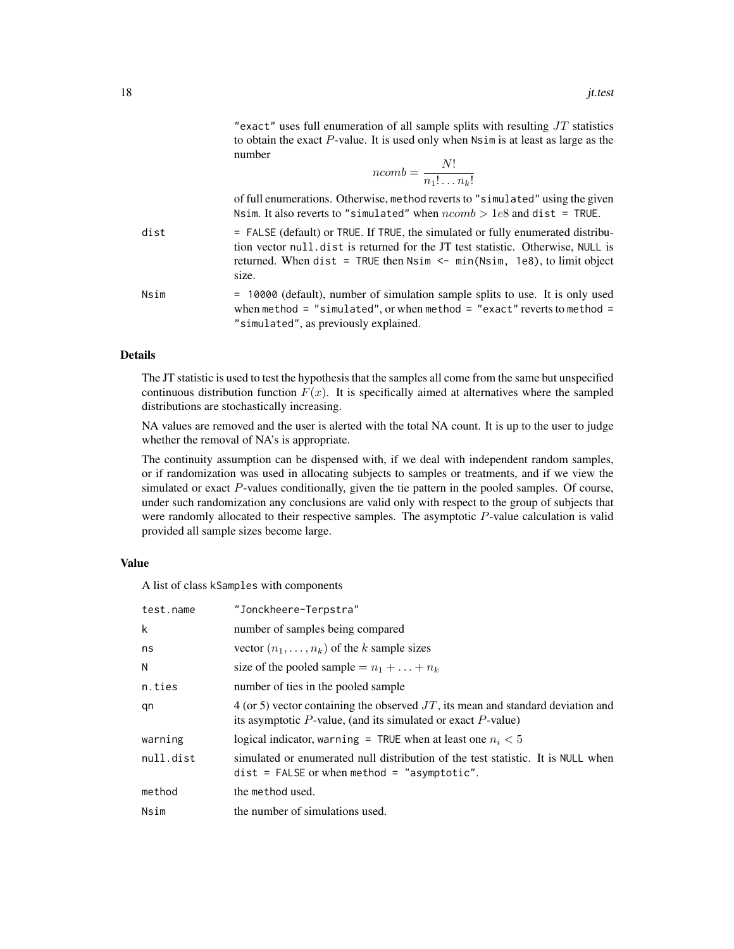"exact" uses full enumeration of all sample splits with resulting  $JT$  statistics to obtain the exact  $P$ -value. It is used only when  $N \sin i$  is at least as large as the number

$$
ncomb = \frac{N!}{n_1! \dots n_k!}
$$

of full enumerations. Otherwise, method reverts to "simulated" using the given Nsim. It also reverts to "simulated" when  $ncomb > 1e8$  and dist = TRUE.

dist = FALSE (default) or TRUE. If TRUE, the simulated or fully enumerated distribution vector null.dist is returned for the JT test statistic. Otherwise, NULL is returned. When dist = TRUE then  $N \sin \leftarrow \min(N \sin, 1 \cos)$ , to limit object size.

Nsim = 10000 (default), number of simulation sample splits to use. It is only used when method = "simulated", or when method = "exact" reverts to method = "simulated", as previously explained.

#### Details

The JT statistic is used to test the hypothesis that the samples all come from the same but unspecified continuous distribution function  $F(x)$ . It is specifically aimed at alternatives where the sampled distributions are stochastically increasing.

NA values are removed and the user is alerted with the total NA count. It is up to the user to judge whether the removal of NA's is appropriate.

The continuity assumption can be dispensed with, if we deal with independent random samples, or if randomization was used in allocating subjects to samples or treatments, and if we view the simulated or exact P-values conditionally, given the tie pattern in the pooled samples. Of course, under such randomization any conclusions are valid only with respect to the group of subjects that were randomly allocated to their respective samples. The asymptotic P-value calculation is valid provided all sample sizes become large.

#### Value

A list of class kSamples with components

| test.name | "Jonckheere-Terpstra"                                                                                                                                    |
|-----------|----------------------------------------------------------------------------------------------------------------------------------------------------------|
| k         | number of samples being compared                                                                                                                         |
| ns        | vector $(n_1, \ldots, n_k)$ of the k sample sizes                                                                                                        |
| N         | size of the pooled sample $= n_1 + \ldots + n_k$                                                                                                         |
| n.ties    | number of ties in the pooled sample                                                                                                                      |
| qn        | 4 (or 5) vector containing the observed $JT$ , its mean and standard deviation and<br>its asymptotic $P$ -value, (and its simulated or exact $P$ -value) |
| warning   | logical indicator, warning = TRUE when at least one $n_i < 5$                                                                                            |
| null.dist | simulated or enumerated null distribution of the test statistic. It is NULL when<br>$dist = FALSE$ or when method = "asymptotic".                        |
| method    | the method used.                                                                                                                                         |
| Nsim      | the number of simulations used.                                                                                                                          |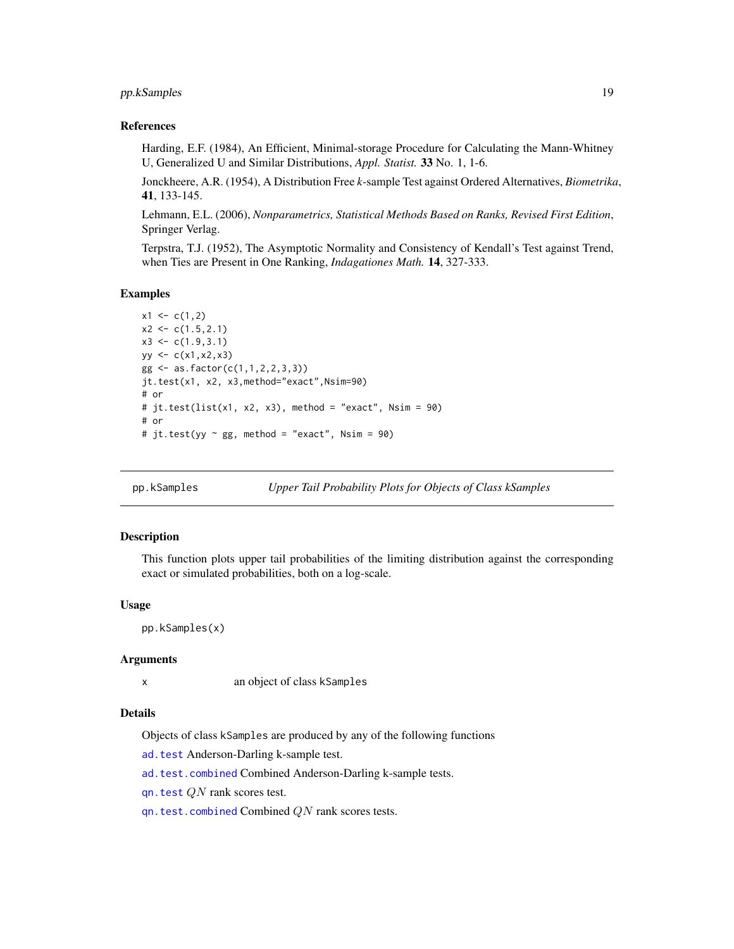#### <span id="page-18-0"></span>pp.kSamples 19

#### References

Harding, E.F. (1984), An Efficient, Minimal-storage Procedure for Calculating the Mann-Whitney U, Generalized U and Similar Distributions, *Appl. Statist.* 33 No. 1, 1-6.

Jonckheere, A.R. (1954), A Distribution Free *k*-sample Test against Ordered Alternatives, *Biometrika*, 41, 133-145.

Lehmann, E.L. (2006), *Nonparametrics, Statistical Methods Based on Ranks, Revised First Edition*, Springer Verlag.

Terpstra, T.J. (1952), The Asymptotic Normality and Consistency of Kendall's Test against Trend, when Ties are Present in One Ranking, *Indagationes Math.* 14, 327-333.

#### Examples

```
x1 \leftarrow c(1,2)x2 \leftarrow c(1.5, 2.1)x3 \leq c(1.9, 3.1)yy \leq c(x1, x2, x3)gg <- as.factor(c(1,1,2,2,3,3))
jt.test(x1, x2, x3,method="exact",Nsim=90)
# or
# jt.test(list(x1, x2, x3), method = "exact", Nsim = 90)# or
# jt.test(yy ~ gg, method = "exact", Nsim = 90)
```
<span id="page-18-1"></span>pp.kSamples *Upper Tail Probability Plots for Objects of Class kSamples*

#### Description

This function plots upper tail probabilities of the limiting distribution against the corresponding exact or simulated probabilities, both on a log-scale.

#### Usage

pp.kSamples(x)

#### Arguments

x an object of class kSamples

#### Details

Objects of class kSamples are produced by any of the following functions

[ad.test](#page-4-1) Anderson-Darling k-sample test.

[ad.test.combined](#page-7-1) Combined Anderson-Darling k-sample tests.

[qn.test](#page-19-1) QN rank scores test.

 $qn. test. combined Combined Combined QN rank scores tests.$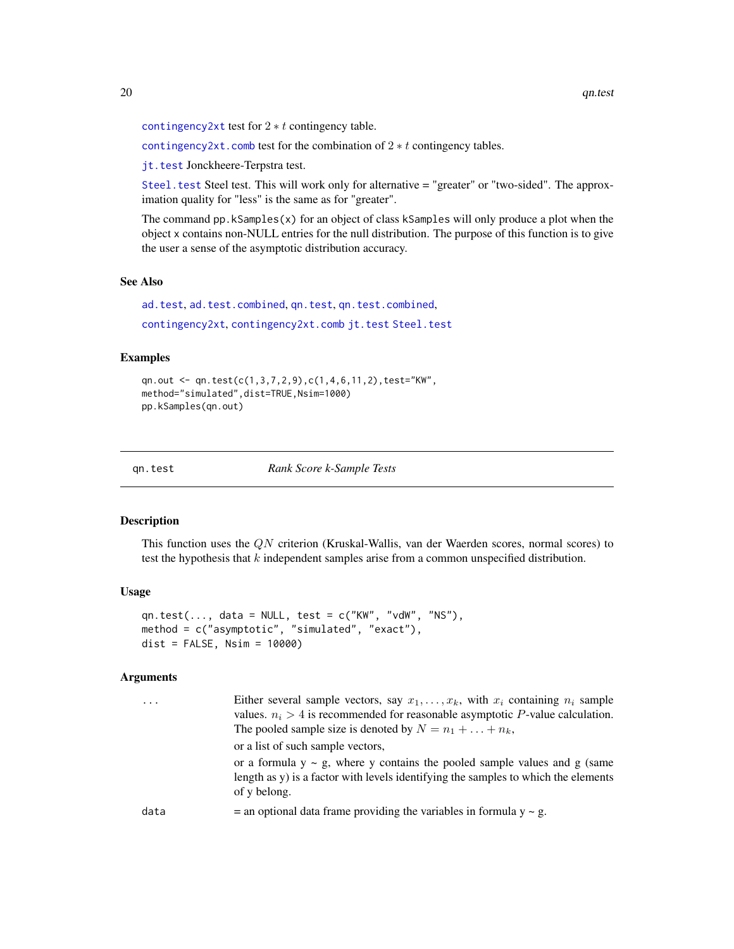```
contingency2xt test for 2 * t contingency table.
```
[contingency2xt.comb](#page-12-1) test for the combination of  $2 * t$  contingency tables.

[jt.test](#page-16-1) Jonckheere-Terpstra test.

[Steel.test](#page-26-1) Steel test. This will work only for alternative = "greater" or "two-sided". The approximation quality for "less" is the same as for "greater".

The command  $pp$ . kSamples $(x)$  for an object of class kSamples will only produce a plot when the object x contains non-NULL entries for the null distribution. The purpose of this function is to give the user a sense of the asymptotic distribution accuracy.

#### See Also

[ad.test](#page-4-1), [ad.test.combined](#page-7-1), [qn.test](#page-19-1), [qn.test.combined](#page-22-1), [contingency2xt](#page-10-1), [contingency2xt.comb](#page-12-1) [jt.test](#page-16-1) [Steel.test](#page-26-1)

#### Examples

qn.out <- qn.test(c(1,3,7,2,9),c(1,4,6,11,2),test="KW", method="simulated",dist=TRUE,Nsim=1000) pp.kSamples(qn.out)

<span id="page-19-1"></span>qn.test *Rank Score k-Sample Tests*

#### Description

This function uses the QN criterion (Kruskal-Wallis, van der Waerden scores, normal scores) to test the hypothesis that  $k$  independent samples arise from a common unspecified distribution.

#### Usage

```
qn.test(..., data = NULL, test = c("KW", "vdW", "NS"),
method = c("asymptotic", "simulated", "exact"),
dist = FALSE, Nsim = 10000
```

| $\cdot$ $\cdot$ $\cdot$ | Either several sample vectors, say $x_1, \ldots, x_k$ , with $x_i$ containing $n_i$ sample<br>values. $n_i > 4$ is recommended for reasonable asymptotic P-value calculation.<br>The pooled sample size is denoted by $N = n_1 + \ldots + n_k$ ,<br>or a list of such sample vectors,<br>or a formula $y \sim g$ , where y contains the pooled sample values and g (same<br>length as y) is a factor with levels identifying the samples to which the elements<br>of y belong. |
|-------------------------|--------------------------------------------------------------------------------------------------------------------------------------------------------------------------------------------------------------------------------------------------------------------------------------------------------------------------------------------------------------------------------------------------------------------------------------------------------------------------------|
| data                    | $=$ an optional data frame providing the variables in formula $y \sim g$ .                                                                                                                                                                                                                                                                                                                                                                                                     |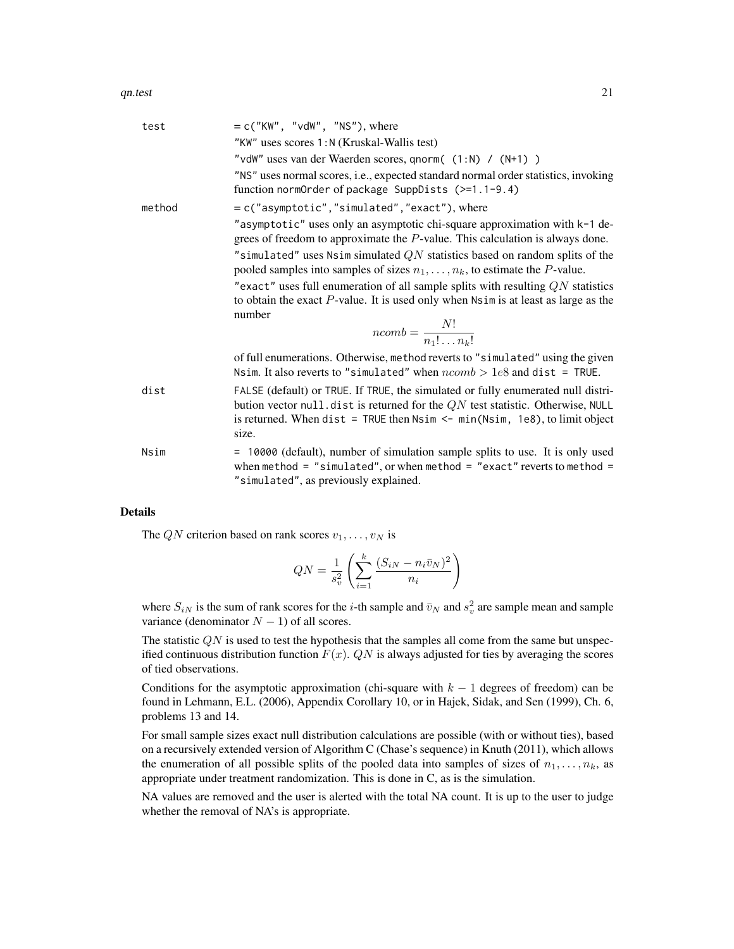| test   | $= c("KW", "vdW", "NS"), where$                                                                                                                                                                                                                                |
|--------|----------------------------------------------------------------------------------------------------------------------------------------------------------------------------------------------------------------------------------------------------------------|
|        | "KW" uses scores 1:N (Kruskal-Wallis test)                                                                                                                                                                                                                     |
|        | "vdW" uses van der Waerden scores, qnorm( (1:N) / (N+1) )                                                                                                                                                                                                      |
|        | "NS" uses normal scores, i.e., expected standard normal order statistics, invoking<br>function normOrder of package SuppDists (>=1.1-9.4)                                                                                                                      |
| method | = c("asymptotic","simulated","exact"), where                                                                                                                                                                                                                   |
|        | "asymptotic" uses only an asymptotic chi-square approximation with k-1 de-<br>grees of freedom to approximate the $P$ -value. This calculation is always done.                                                                                                 |
|        | "simulated" uses Nsim simulated $QN$ statistics based on random splits of the<br>pooled samples into samples of sizes $n_1, \ldots, n_k$ , to estimate the P-value.                                                                                            |
|        | "exact" uses full enumeration of all sample splits with resulting $QN$ statistics<br>to obtain the exact $P$ -value. It is used only when $Nsim$ is at least as large as the<br>number                                                                         |
|        |                                                                                                                                                                                                                                                                |
|        | $ncomb = \frac{N!}{n_1! \cdots n_r!}$                                                                                                                                                                                                                          |
|        | of full enumerations. Otherwise, method reverts to "simulated" using the given<br>Nsim. It also reverts to "simulated" when $ncomb > 1e8$ and dist = TRUE.                                                                                                     |
| dist   | FALSE (default) or TRUE. If TRUE, the simulated or fully enumerated null distri-<br>bution vector null. dist is returned for the $QN$ test statistic. Otherwise, NULL<br>is returned. When dist = TRUE then $Nsim < min(Nsim, 1e8)$ , to limit object<br>size. |
| Nsim   | = 10000 (default), number of simulation sample splits to use. It is only used<br>when method = "simulated", or when method = "exact" reverts to method =<br>"simulated", as previously explained.                                                              |
|        |                                                                                                                                                                                                                                                                |

#### Details

The QN criterion based on rank scores  $v_1, \ldots, v_N$  is

$$
QN = \frac{1}{s_v^2} \left( \sum_{i=1}^k \frac{(S_{iN} - n_i \bar{v}_N)^2}{n_i} \right)
$$

where  $S_{iN}$  is the sum of rank scores for the *i*-th sample and  $\bar{v}_N$  and  $s_v^2$  are sample mean and sample variance (denominator  $N - 1$ ) of all scores.

The statistic  $QN$  is used to test the hypothesis that the samples all come from the same but unspecified continuous distribution function  $F(x)$ . QN is always adjusted for ties by averaging the scores of tied observations.

Conditions for the asymptotic approximation (chi-square with  $k - 1$  degrees of freedom) can be found in Lehmann, E.L. (2006), Appendix Corollary 10, or in Hajek, Sidak, and Sen (1999), Ch. 6, problems 13 and 14.

For small sample sizes exact null distribution calculations are possible (with or without ties), based on a recursively extended version of Algorithm C (Chase's sequence) in Knuth (2011), which allows the enumeration of all possible splits of the pooled data into samples of sizes of  $n_1, \ldots, n_k$ , as appropriate under treatment randomization. This is done in C, as is the simulation.

NA values are removed and the user is alerted with the total NA count. It is up to the user to judge whether the removal of NA's is appropriate.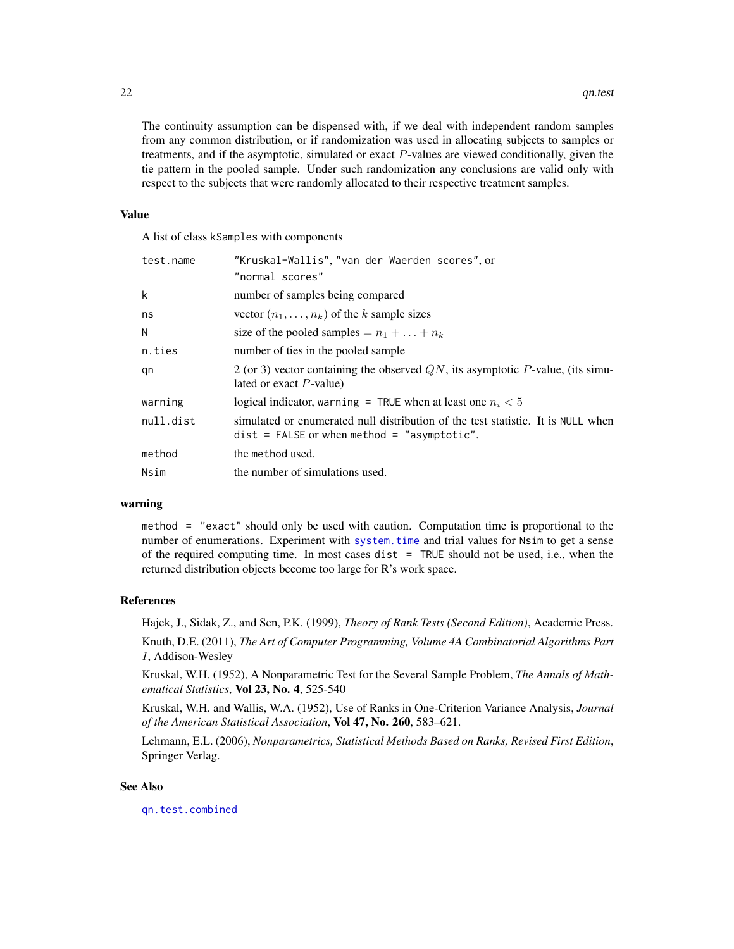<span id="page-21-0"></span>The continuity assumption can be dispensed with, if we deal with independent random samples from any common distribution, or if randomization was used in allocating subjects to samples or treatments, and if the asymptotic, simulated or exact P-values are viewed conditionally, given the tie pattern in the pooled sample. Under such randomization any conclusions are valid only with respect to the subjects that were randomly allocated to their respective treatment samples.

#### Value

A list of class kSamples with components

| test.name | "Kruskal-Wallis", "van der Waerden scores", or                                                                                    |
|-----------|-----------------------------------------------------------------------------------------------------------------------------------|
|           | "normal scores"                                                                                                                   |
| k         | number of samples being compared                                                                                                  |
| ns        | vector $(n_1, \ldots, n_k)$ of the k sample sizes                                                                                 |
| N         | size of the pooled samples $= n_1 + \ldots + n_k$                                                                                 |
| n.ties    | number of ties in the pooled sample                                                                                               |
| qn        | 2 (or 3) vector containing the observed $QN$ , its asymptotic P-value, (its simu-<br>lated or exact $P$ -value)                   |
| warning   | logical indicator, warning = TRUE when at least one $n_i < 5$                                                                     |
| null.dist | simulated or enumerated null distribution of the test statistic. It is NULL when<br>$dist$ = FALSE or when method = "asymptotic". |
| method    | the method used.                                                                                                                  |
| Nsim      | the number of simulations used.                                                                                                   |

#### warning

method = "exact" should only be used with caution. Computation time is proportional to the number of enumerations. Experiment with [system.time](#page-0-0) and trial values for Nsim to get a sense of the required computing time. In most cases dist  $=$  TRUE should not be used, i.e., when the returned distribution objects become too large for R's work space.

#### References

Hajek, J., Sidak, Z., and Sen, P.K. (1999), *Theory of Rank Tests (Second Edition)*, Academic Press.

Knuth, D.E. (2011), *The Art of Computer Programming, Volume 4A Combinatorial Algorithms Part 1*, Addison-Wesley

Kruskal, W.H. (1952), A Nonparametric Test for the Several Sample Problem, *The Annals of Mathematical Statistics*, Vol 23, No. 4, 525-540

Kruskal, W.H. and Wallis, W.A. (1952), Use of Ranks in One-Criterion Variance Analysis, *Journal of the American Statistical Association*, Vol 47, No. 260, 583–621.

Lehmann, E.L. (2006), *Nonparametrics, Statistical Methods Based on Ranks, Revised First Edition*, Springer Verlag.

#### See Also

[qn.test.combined](#page-22-1)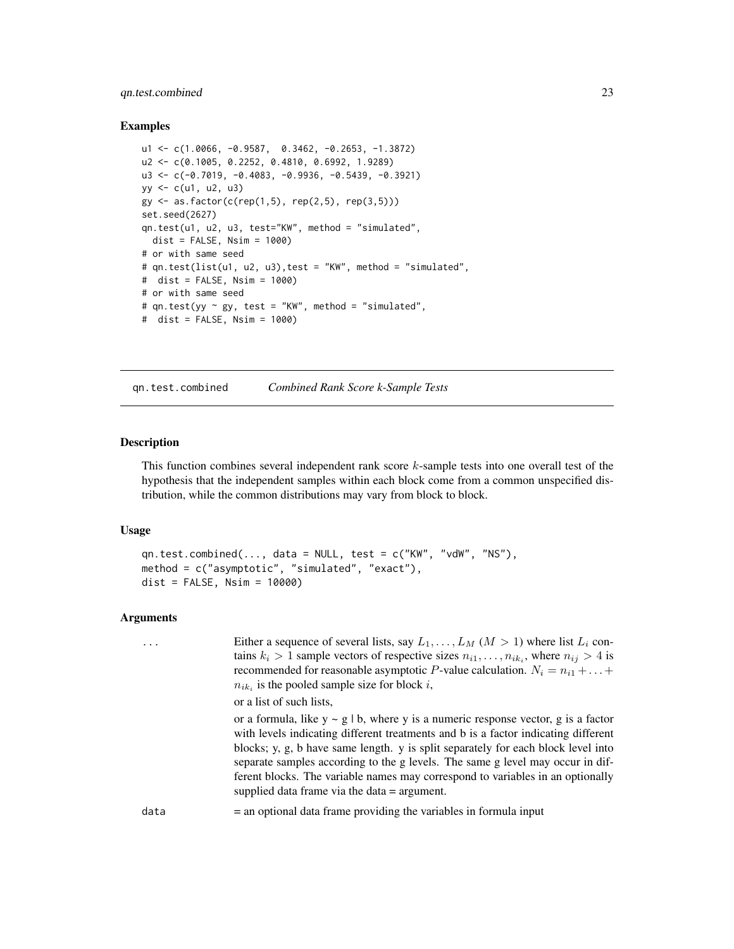#### <span id="page-22-0"></span>qn.test.combined 23

#### Examples

```
u1 <- c(1.0066, -0.9587, 0.3462, -0.2653, -1.3872)
u2 <- c(0.1005, 0.2252, 0.4810, 0.6992, 1.9289)
u3 <- c(-0.7019, -0.4083, -0.9936, -0.5439, -0.3921)
yy <- c(u1, u2, u3)
gy \leq as.factor(c(rep(1,5), rep(2,5), rep(3,5)))set.seed(2627)
qn.test(u1, u2, u3, test="KW", method = "simulated",
  dist = FALSE, Nsim = 1000# or with same seed
# qn.test(list(u1, u2, u3),test = "KW", method = "simulated",
# dist = FALSE, Nsim = 1000)
# or with same seed
# qn.test(yy \sim gy, test = "KW", method = "simulated",
# dist = FALSE, Nsim = 1000)
```
<span id="page-22-1"></span>qn.test.combined *Combined Rank Score k-Sample Tests*

#### Description

This function combines several independent rank score k-sample tests into one overall test of the hypothesis that the independent samples within each block come from a common unspecified distribution, while the common distributions may vary from block to block.

#### Usage

```
qn.test.combined(..., data = NULL, test = c("KW", "vdW", "NS"),
method = c("asymptotic", "simulated", "exact"),
dist = FALSE, Nsim = 10000
```

|      | Either a sequence of several lists, say $L_1, \ldots, L_M$ $(M > 1)$ where list $L_i$ con-<br>tains $k_i > 1$ sample vectors of respective sizes $n_{i1}, \ldots, n_{ik_i}$ , where $n_{ij} > 4$ is<br>recommended for reasonable asymptotic P-value calculation. $N_i = n_{i1} +  +$<br>$n_{ik_i}$ is the pooled sample size for block i,                                                                                                                                               |
|------|------------------------------------------------------------------------------------------------------------------------------------------------------------------------------------------------------------------------------------------------------------------------------------------------------------------------------------------------------------------------------------------------------------------------------------------------------------------------------------------|
|      | or a list of such lists.                                                                                                                                                                                                                                                                                                                                                                                                                                                                 |
|      | or a formula, like $y \sim g / b$ , where y is a numeric response vector, g is a factor<br>with levels indicating different treatments and b is a factor indicating different<br>blocks; y, g, b have same length. y is split separately for each block level into<br>separate samples according to the g levels. The same g level may occur in dif-<br>ferent blocks. The variable names may correspond to variables in an optionally<br>supplied data frame via the data $=$ argument. |
| data | $=$ an optional data frame providing the variables in formula input                                                                                                                                                                                                                                                                                                                                                                                                                      |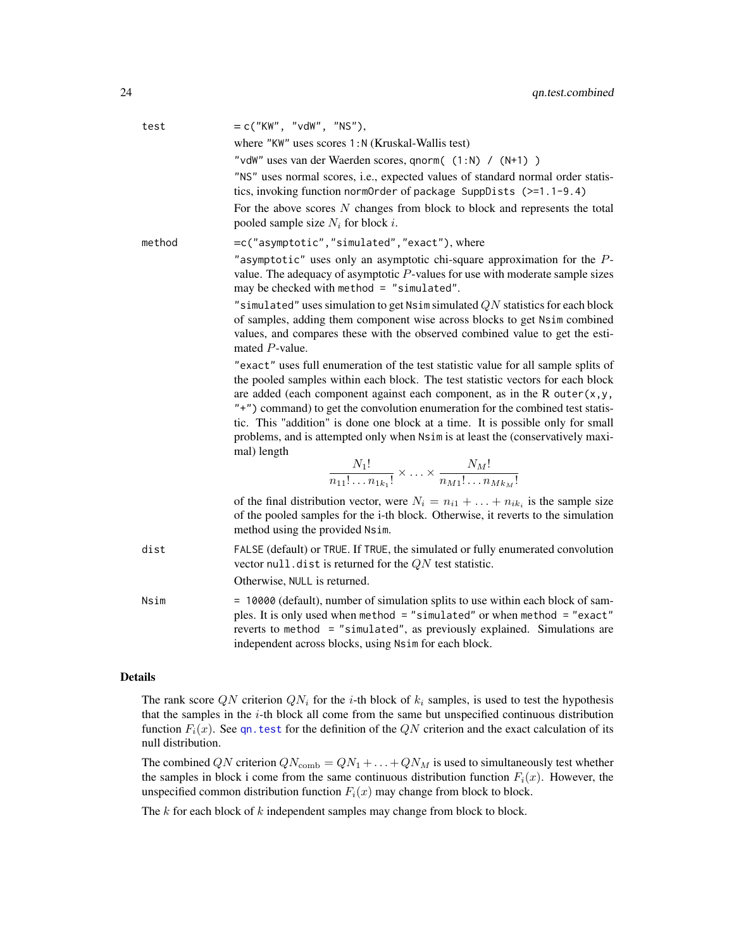<span id="page-23-0"></span>

| test   | $= c("KW", "vdW", "NS"),$<br>where "KW" uses scores 1:N (Kruskal-Wallis test)                                                                                                                                                                                                                                                                                                                                                                                                                                                                                                                                                  |
|--------|--------------------------------------------------------------------------------------------------------------------------------------------------------------------------------------------------------------------------------------------------------------------------------------------------------------------------------------------------------------------------------------------------------------------------------------------------------------------------------------------------------------------------------------------------------------------------------------------------------------------------------|
|        | "vdW" uses van der Waerden scores, qnorm( (1:N) / (N+1) )                                                                                                                                                                                                                                                                                                                                                                                                                                                                                                                                                                      |
|        | "NS" uses normal scores, i.e., expected values of standard normal order statis-<br>tics, invoking function normOrder of package SuppDists (>=1.1-9.4)                                                                                                                                                                                                                                                                                                                                                                                                                                                                          |
|        | For the above scores $N$ changes from block to block and represents the total<br>pooled sample size $N_i$ for block i.                                                                                                                                                                                                                                                                                                                                                                                                                                                                                                         |
| method | =c("asymptotic","simulated","exact"), where                                                                                                                                                                                                                                                                                                                                                                                                                                                                                                                                                                                    |
|        | "asymptotic" uses only an asymptotic chi-square approximation for the $P$ -<br>value. The adequacy of asymptotic $P$ -values for use with moderate sample sizes<br>may be checked with method = $"simulated".$                                                                                                                                                                                                                                                                                                                                                                                                                 |
|        | "simulated" uses simulation to get Nsim simulated $QN$ statistics for each block<br>of samples, adding them component wise across blocks to get Nsim combined<br>values, and compares these with the observed combined value to get the esti-<br>mated $P$ -value.                                                                                                                                                                                                                                                                                                                                                             |
|        | "exact" uses full enumeration of the test statistic value for all sample splits of<br>the pooled samples within each block. The test statistic vectors for each block<br>are added (each component against each component, as in the R outer $(x, y, z)$<br>"+") command) to get the convolution enumeration for the combined test statis-<br>tic. This "addition" is done one block at a time. It is possible only for small<br>problems, and is attempted only when Nsim is at least the (conservatively maxi-<br>mal) length<br>$\frac{N_1!}{n_{11}! \dots n_{1k}!} \times \dots \times \frac{N_M!}{n_{M1}! \dots n_{Mk}!}$ |
|        | of the final distribution vector, were $N_i = n_{i1} + \ldots + n_{ik_i}$ is the sample size<br>of the pooled samples for the i-th block. Otherwise, it reverts to the simulation<br>method using the provided Nsim.                                                                                                                                                                                                                                                                                                                                                                                                           |
| dist   | FALSE (default) or TRUE. If TRUE, the simulated or fully enumerated convolution<br>vector null. dist is returned for the $QN$ test statistic.<br>Otherwise, NULL is returned.                                                                                                                                                                                                                                                                                                                                                                                                                                                  |
| Nsim   | = 10000 (default), number of simulation splits to use within each block of sam-<br>ples. It is only used when method = "simulated" or when method = "exact"<br>reverts to method = "simulated", as previously explained. Simulations are<br>independent across blocks, using Nsim for each block.                                                                                                                                                                                                                                                                                                                              |
|        |                                                                                                                                                                                                                                                                                                                                                                                                                                                                                                                                                                                                                                |

#### Details

The rank score QN criterion  $QN_i$  for the *i*-th block of  $k_i$  samples, is used to test the hypothesis that the samples in the  $i$ -th block all come from the same but unspecified continuous distribution function  $F_i(x)$ . See [qn.test](#page-19-1) for the definition of the QN criterion and the exact calculation of its null distribution.

The combined QN criterion  $QN_{\text{comb}} = QN_1 + \ldots + QN_M$  is used to simultaneously test whether the samples in block i come from the same continuous distribution function  $F_i(x)$ . However, the unspecified common distribution function  $F_i(x)$  may change from block to block.

The  $k$  for each block of  $k$  independent samples may change from block to block.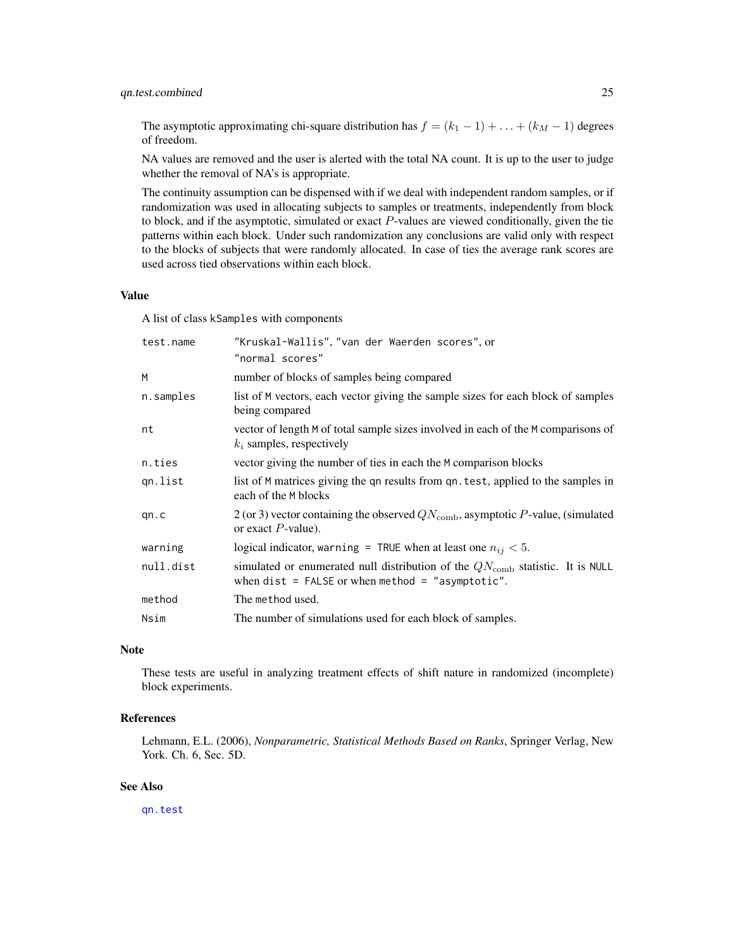#### <span id="page-24-0"></span>qn.test.combined 25

The asymptotic approximating chi-square distribution has  $f = (k_1 - 1) + \ldots + (k_M - 1)$  degrees of freedom.

NA values are removed and the user is alerted with the total NA count. It is up to the user to judge whether the removal of NA's is appropriate.

The continuity assumption can be dispensed with if we deal with independent random samples, or if randomization was used in allocating subjects to samples or treatments, independently from block to block, and if the asymptotic, simulated or exact  $P$ -values are viewed conditionally, given the tie patterns within each block. Under such randomization any conclusions are valid only with respect to the blocks of subjects that were randomly allocated. In case of ties the average rank scores are used across tied observations within each block.

#### Value

A list of class kSamples with components

| test.name | "Kruskal-Wallis", "van der Waerden scores", or<br>"normal scores"                                                                            |
|-----------|----------------------------------------------------------------------------------------------------------------------------------------------|
| M         | number of blocks of samples being compared                                                                                                   |
| n.samples | list of M vectors, each vector giving the sample sizes for each block of samples<br>being compared                                           |
| nt        | vector of length M of total sample sizes involved in each of the M comparisons of<br>$k_i$ samples, respectively                             |
| n.ties    | vector giving the number of ties in each the M comparison blocks                                                                             |
| gn.list   | list of M matrices giving the qn results from qn. test, applied to the samples in<br>each of the M blocks                                    |
| qn.c      | 2 (or 3) vector containing the observed $QN_{\text{comb}}$ , asymptotic P-value, (simulated<br>or exact $P$ -value).                         |
| warning   | logical indicator, warning = TRUE when at least one $n_{ij} < 5$ .                                                                           |
| null.dist | simulated or enumerated null distribution of the $QN_{\rm comb}$ statistic. It is NULL<br>when $dist = FALSE$ or when method = "asymptotic". |
| method    | The method used.                                                                                                                             |
| Nsim      | The number of simulations used for each block of samples.                                                                                    |

#### Note

These tests are useful in analyzing treatment effects of shift nature in randomized (incomplete) block experiments.

#### References

Lehmann, E.L. (2006), *Nonparametric, Statistical Methods Based on Ranks*, Springer Verlag, New York. Ch. 6, Sec. 5D.

#### See Also

[qn.test](#page-19-1)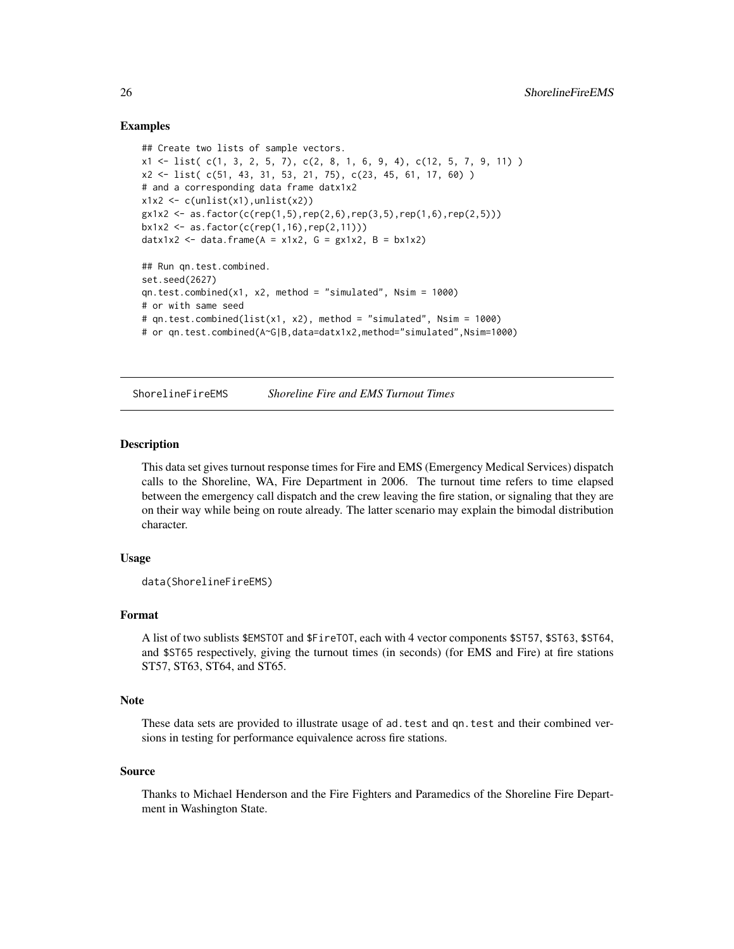#### Examples

```
## Create two lists of sample vectors.
x1 \leftarrow list( c(1, 3, 2, 5, 7), c(2, 8, 1, 6, 9, 4), c(12, 5, 7, 9, 11))
x2 <- list( c(51, 43, 31, 53, 21, 75), c(23, 45, 61, 17, 60) )
# and a corresponding data frame datx1x2
x1x2 \leftarrow c(unlist(x1),unlist(x2))gx1x2 \leq as.factor(c(rep(1,5),rep(2,6),rep(3,5),rep(1,6),rep(2,5)))bx1x2 \le -as.factor(c(rep(1,16),rep(2,11)))datx1x2 <- data.frame(A = x1x2, G = gx1x2, B = bx1x2)
## Run qn.test.combined.
set.seed(2627)
qn.test.compile(x1, x2, method = "simulated", Nsim = 1000)# or with same seed
# qn.test.combined(list(x1, x2), method = "simulated", Nsim = 1000)
# or qn.test.combined(A~G|B,data=datx1x2,method="simulated",Nsim=1000)
```
ShorelineFireEMS *Shoreline Fire and EMS Turnout Times*

#### **Description**

This data set gives turnout response times for Fire and EMS (Emergency Medical Services) dispatch calls to the Shoreline, WA, Fire Department in 2006. The turnout time refers to time elapsed between the emergency call dispatch and the crew leaving the fire station, or signaling that they are on their way while being on route already. The latter scenario may explain the bimodal distribution character.

#### Usage

```
data(ShorelineFireEMS)
```
#### Format

A list of two sublists \$EMSTOT and \$FireTOT, each with 4 vector components \$ST57, \$ST63, \$ST64, and \$ST65 respectively, giving the turnout times (in seconds) (for EMS and Fire) at fire stations ST57, ST63, ST64, and ST65.

#### Note

These data sets are provided to illustrate usage of ad.test and qn.test and their combined versions in testing for performance equivalence across fire stations.

#### Source

Thanks to Michael Henderson and the Fire Fighters and Paramedics of the Shoreline Fire Department in Washington State.

<span id="page-25-0"></span>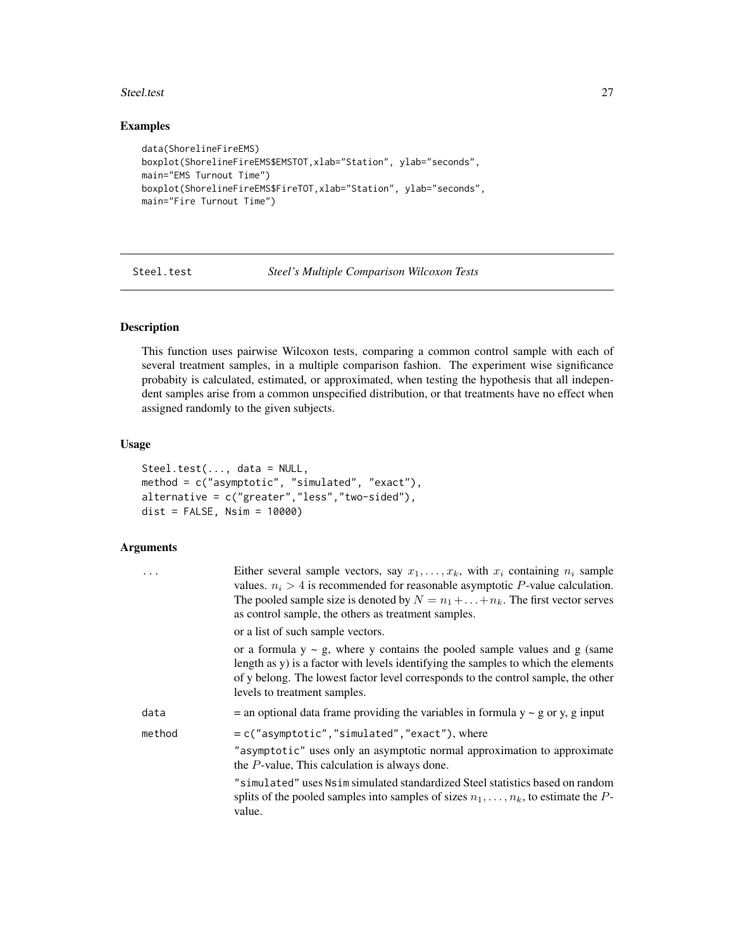#### <span id="page-26-0"></span>Steel.test 27

#### Examples

```
data(ShorelineFireEMS)
boxplot(ShorelineFireEMS$EMSTOT,xlab="Station", ylab="seconds",
main="EMS Turnout Time")
boxplot(ShorelineFireEMS$FireTOT,xlab="Station", ylab="seconds",
main="Fire Turnout Time")
```
<span id="page-26-1"></span>Steel.test *Steel's Multiple Comparison Wilcoxon Tests*

#### Description

This function uses pairwise Wilcoxon tests, comparing a common control sample with each of several treatment samples, in a multiple comparison fashion. The experiment wise significance probabity is calculated, estimated, or approximated, when testing the hypothesis that all independent samples arise from a common unspecified distribution, or that treatments have no effect when assigned randomly to the given subjects.

#### Usage

```
Steel.test(..., data = NULL,
method = c("asymptotic", "simulated", "exact"),
alternative = c("greater","less","two-sided"),
dist = FALSE, Nsim = 10000)
```

| $\ddots$ | Either several sample vectors, say $x_1, \ldots, x_k$ , with $x_i$ containing $n_i$ sample<br>values. $n_i > 4$ is recommended for reasonable asymptotic P-value calculation.<br>The pooled sample size is denoted by $N = n_1 +  + n_k$ . The first vector serves<br>as control sample, the others as treatment samples. |
|----------|---------------------------------------------------------------------------------------------------------------------------------------------------------------------------------------------------------------------------------------------------------------------------------------------------------------------------|
|          | or a list of such sample vectors.                                                                                                                                                                                                                                                                                         |
|          | or a formula $y \sim g$ , where y contains the pooled sample values and g (same<br>length as y) is a factor with levels identifying the samples to which the elements<br>of y belong. The lowest factor level corresponds to the control sample, the other<br>levels to treatment samples.                                |
| data     | $=$ an optional data frame providing the variables in formula $y \sim g$ or y, g input                                                                                                                                                                                                                                    |
| method   | $= c("asymptotic", "simulated", "exact"), where$                                                                                                                                                                                                                                                                          |
|          | "asymptotic" uses only an asymptotic normal approximation to approximate<br>the $P$ -value, This calculation is always done.                                                                                                                                                                                              |
|          | "simulated" uses Nsim simulated standardized Steel statistics based on random<br>splits of the pooled samples into samples of sizes $n_1, \ldots, n_k$ , to estimate the P-<br>value.                                                                                                                                     |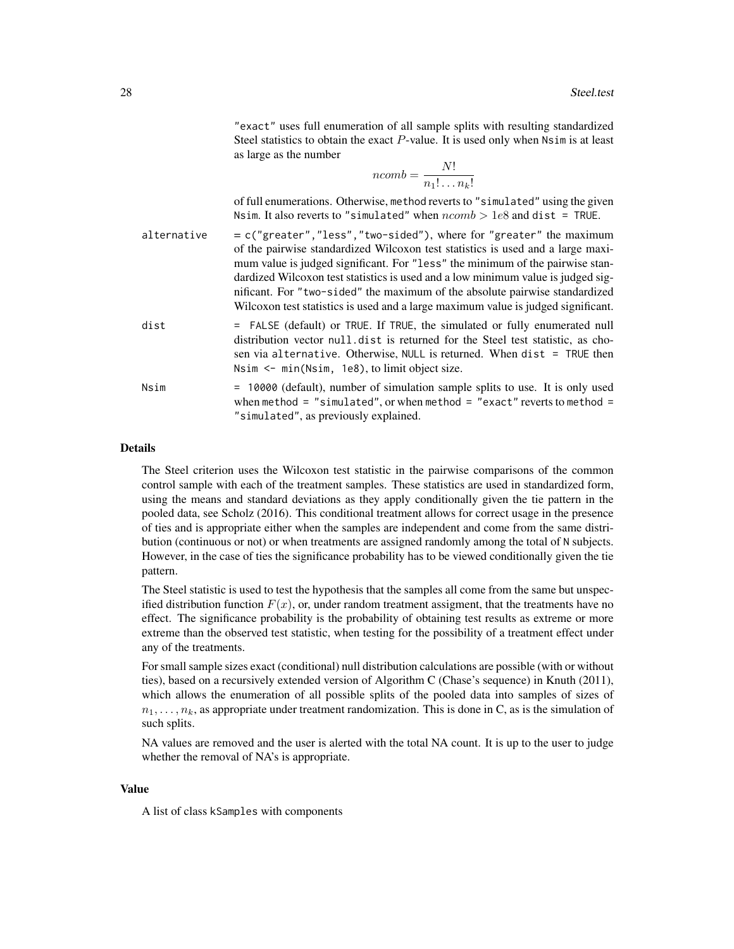"exact" uses full enumeration of all sample splits with resulting standardized Steel statistics to obtain the exact  $P$ -value. It is used only when  $N \sin i s$  at least as large as the number

$$
ncomb = \frac{N!}{n_1! \dots n_k!}
$$

of full enumerations. Otherwise, method reverts to "simulated" using the given Nsim. It also reverts to "simulated" when  $ncomb > 1e8$  and dist = TRUE.

- alternative  $= c("greater", "less", "two-sided"), where for "greater" the maximum$ of the pairwise standardized Wilcoxon test statistics is used and a large maximum value is judged significant. For "less" the minimum of the pairwise standardized Wilcoxon test statistics is used and a low minimum value is judged significant. For "two-sided" the maximum of the absolute pairwise standardized Wilcoxon test statistics is used and a large maximum value is judged significant. dist = FALSE (default) or TRUE. If TRUE, the simulated or fully enumerated null
- distribution vector null.dist is returned for the Steel test statistic, as chosen via alternative. Otherwise, NULL is returned. When dist = TRUE then Nsim <- min(Nsim, 1e8), to limit object size.
- Nsim = 10000 (default), number of simulation sample splits to use. It is only used when method = "simulated", or when method = "exact" reverts to method = "simulated", as previously explained.

#### Details

The Steel criterion uses the Wilcoxon test statistic in the pairwise comparisons of the common control sample with each of the treatment samples. These statistics are used in standardized form, using the means and standard deviations as they apply conditionally given the tie pattern in the pooled data, see Scholz (2016). This conditional treatment allows for correct usage in the presence of ties and is appropriate either when the samples are independent and come from the same distribution (continuous or not) or when treatments are assigned randomly among the total of N subjects. However, in the case of ties the significance probability has to be viewed conditionally given the tie pattern.

The Steel statistic is used to test the hypothesis that the samples all come from the same but unspecified distribution function  $F(x)$ , or, under random treatment assigment, that the treatments have no effect. The significance probability is the probability of obtaining test results as extreme or more extreme than the observed test statistic, when testing for the possibility of a treatment effect under any of the treatments.

For small sample sizes exact (conditional) null distribution calculations are possible (with or without ties), based on a recursively extended version of Algorithm C (Chase's sequence) in Knuth (2011), which allows the enumeration of all possible splits of the pooled data into samples of sizes of  $n_1, \ldots, n_k$ , as appropriate under treatment randomization. This is done in C, as is the simulation of such splits.

NA values are removed and the user is alerted with the total NA count. It is up to the user to judge whether the removal of NA's is appropriate.

#### Value

A list of class kSamples with components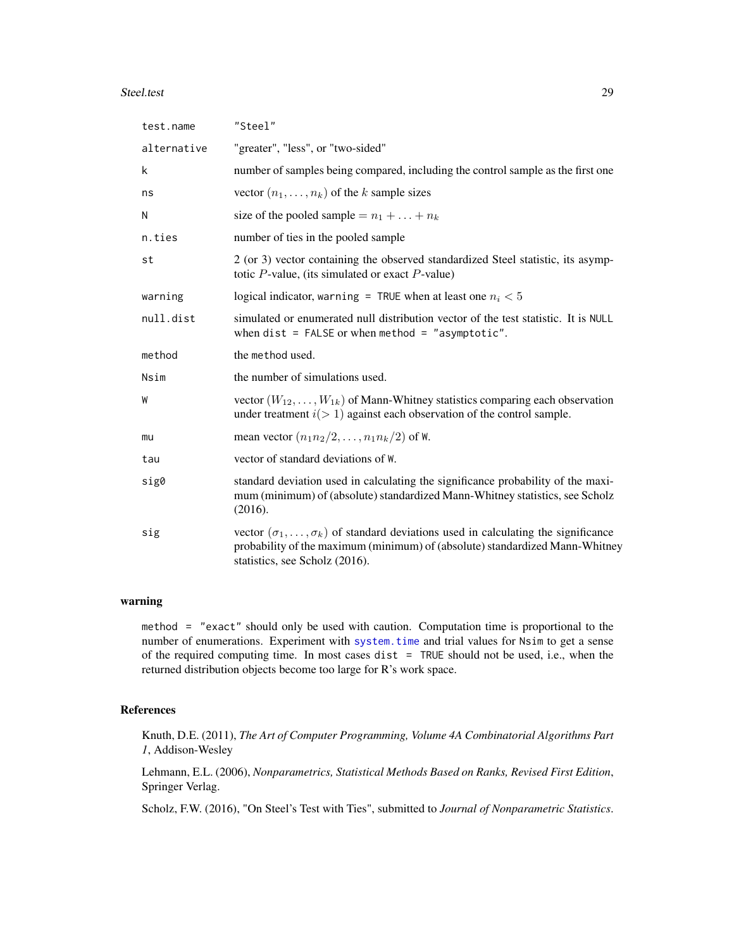#### <span id="page-28-0"></span>Steel.test 29

| test.name   | "Steel"                                                                                                                                                                                                             |
|-------------|---------------------------------------------------------------------------------------------------------------------------------------------------------------------------------------------------------------------|
| alternative | "greater", "less", or "two-sided"                                                                                                                                                                                   |
| k           | number of samples being compared, including the control sample as the first one                                                                                                                                     |
| ns          | vector $(n_1, \ldots, n_k)$ of the k sample sizes                                                                                                                                                                   |
| N           | size of the pooled sample = $n_1 +  + n_k$                                                                                                                                                                          |
| n.ties      | number of ties in the pooled sample                                                                                                                                                                                 |
| st          | 2 (or 3) vector containing the observed standardized Steel statistic, its asymp-<br>totic $P$ -value, (its simulated or exact $P$ -value)                                                                           |
| warning     | logical indicator, warning = TRUE when at least one $n_i < 5$                                                                                                                                                       |
| null.dist   | simulated or enumerated null distribution vector of the test statistic. It is NULL<br>when $dist = FALSE$ or when method = "asymptotic".                                                                            |
| method      | the method used.                                                                                                                                                                                                    |
| Nsim        | the number of simulations used.                                                                                                                                                                                     |
| W           | vector $(W_{12},,W_{1k})$ of Mann-Whitney statistics comparing each observation<br>under treatment $i(>1)$ against each observation of the control sample.                                                          |
| mu          | mean vector $(n_1n_2/2,\ldots,n_1n_k/2)$ of W.                                                                                                                                                                      |
| tau         | vector of standard deviations of W.                                                                                                                                                                                 |
| sig0        | standard deviation used in calculating the significance probability of the maxi-<br>mum (minimum) of (absolute) standardized Mann-Whitney statistics, see Scholz<br>(2016).                                         |
| sig         | vector $(\sigma_1, \ldots, \sigma_k)$ of standard deviations used in calculating the significance<br>probability of the maximum (minimum) of (absolute) standardized Mann-Whitney<br>statistics, see Scholz (2016). |

#### warning

method = "exact" should only be used with caution. Computation time is proportional to the number of enumerations. Experiment with [system.time](#page-0-0) and trial values for Nsim to get a sense of the required computing time. In most cases dist = TRUE should not be used, i.e., when the returned distribution objects become too large for R's work space.

#### References

Knuth, D.E. (2011), *The Art of Computer Programming, Volume 4A Combinatorial Algorithms Part 1*, Addison-Wesley

Lehmann, E.L. (2006), *Nonparametrics, Statistical Methods Based on Ranks, Revised First Edition*, Springer Verlag.

Scholz, F.W. (2016), "On Steel's Test with Ties", submitted to *Journal of Nonparametric Statistics*.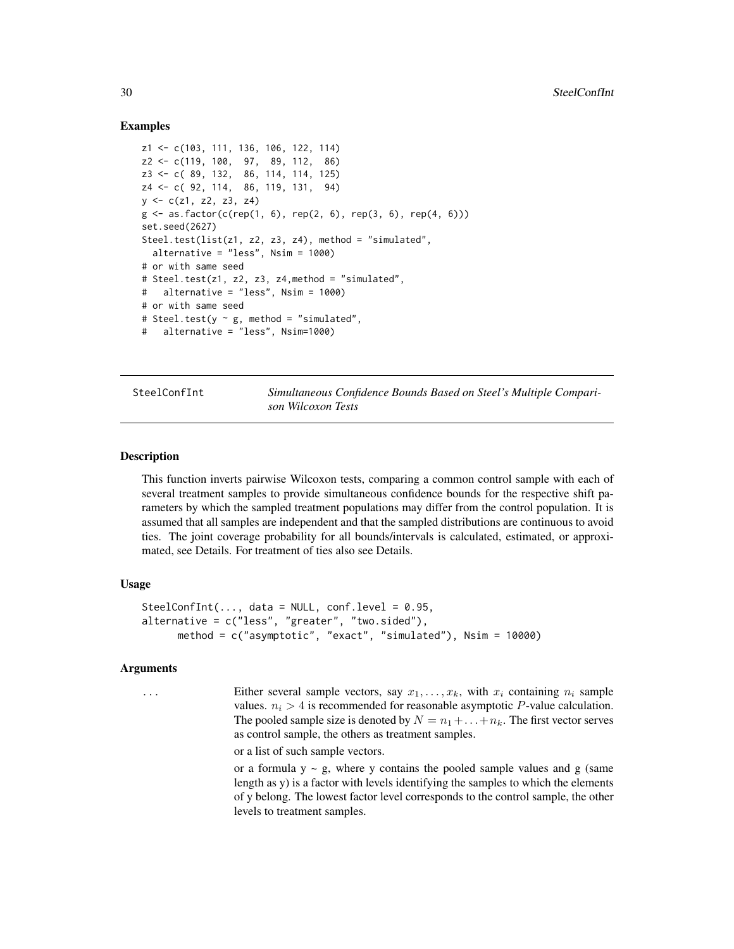#### Examples

```
z1 <- c(103, 111, 136, 106, 122, 114)
z2 <- c(119, 100, 97, 89, 112, 86)
z3 <- c( 89, 132, 86, 114, 114, 125)
z4 <- c( 92, 114, 86, 119, 131, 94)
y \leq -c(z1, z2, z3, z4)g \le -as.factor(c(rep(1, 6), rep(2, 6), rep(3, 6), rep(4, 6)))set.seed(2627)
Steel.test(list(z1, z2, z3, z4), method = "simulated",
  alternative = "less", Nsim = 1000)
# or with same seed
# Steel.test(z1, z2, z3, z4,method = "simulated",
# alternative = "less", Nsim = 1000)
# or with same seed
# Steel.test(y \sim g, method = "simulated",
# alternative = "less", Nsim=1000)
```
SteelConfInt *Simultaneous Confidence Bounds Based on Steel's Multiple Comparison Wilcoxon Tests*

#### **Description**

This function inverts pairwise Wilcoxon tests, comparing a common control sample with each of several treatment samples to provide simultaneous confidence bounds for the respective shift parameters by which the sampled treatment populations may differ from the control population. It is assumed that all samples are independent and that the sampled distributions are continuous to avoid ties. The joint coverage probability for all bounds/intervals is calculated, estimated, or approximated, see Details. For treatment of ties also see Details.

#### Usage

```
SteelConfInt(..., data = NULL, conf. level = 0.95,alternative = c("less", "greater", "two.sided"),method = c("asymptotic", "exact", "simulated"), Nsim = 10000)
```
#### **Arguments**

... Either several sample vectors, say  $x_1, \ldots, x_k$ , with  $x_i$  containing  $n_i$  sample values.  $n_i > 4$  is recommended for reasonable asymptotic P-value calculation. The pooled sample size is denoted by  $N = n_1 + \ldots + n_k$ . The first vector serves as control sample, the others as treatment samples.

or a list of such sample vectors.

or a formula  $y \sim g$ , where y contains the pooled sample values and g (same length as y) is a factor with levels identifying the samples to which the elements of y belong. The lowest factor level corresponds to the control sample, the other levels to treatment samples.

<span id="page-29-0"></span>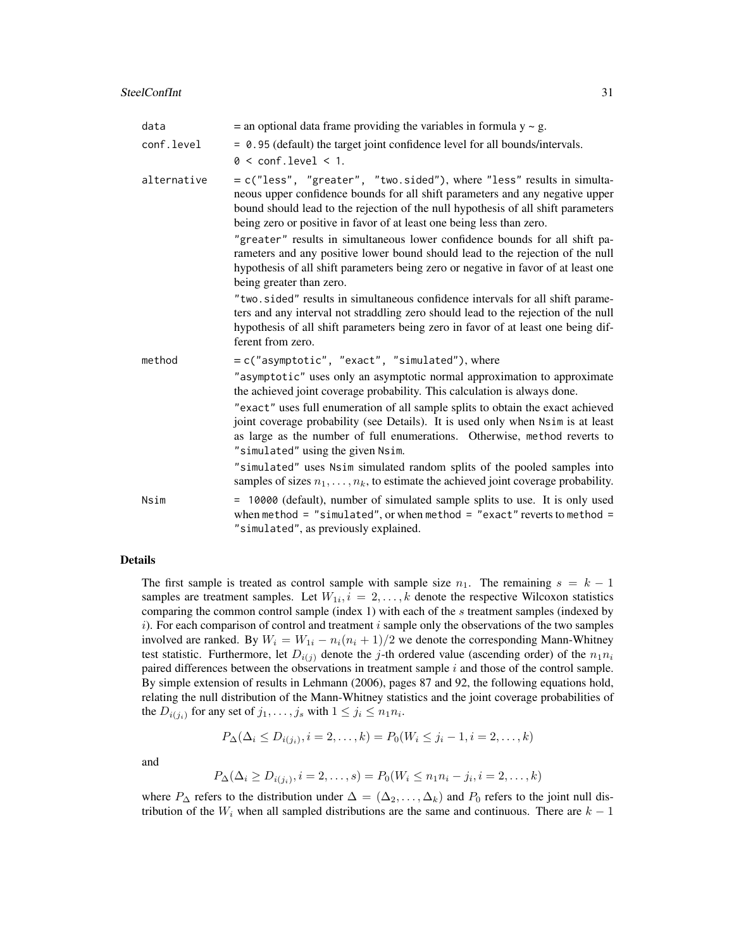| data        | $=$ an optional data frame providing the variables in formula $y \sim g$ .                                                                                                                                                                                                                                                                                                                                                                                                                                                                                                                                                                                                                                                                                                                                                                                                                |
|-------------|-------------------------------------------------------------------------------------------------------------------------------------------------------------------------------------------------------------------------------------------------------------------------------------------------------------------------------------------------------------------------------------------------------------------------------------------------------------------------------------------------------------------------------------------------------------------------------------------------------------------------------------------------------------------------------------------------------------------------------------------------------------------------------------------------------------------------------------------------------------------------------------------|
| conf.level  | = 0.95 (default) the target joint confidence level for all bounds/intervals.<br>$0 < \text{conf. level} < 1$ .                                                                                                                                                                                                                                                                                                                                                                                                                                                                                                                                                                                                                                                                                                                                                                            |
| alternative | = c("less", "greater", "two.sided"), where "less" results in simulta-<br>neous upper confidence bounds for all shift parameters and any negative upper<br>bound should lead to the rejection of the null hypothesis of all shift parameters<br>being zero or positive in favor of at least one being less than zero.<br>"greater" results in simultaneous lower confidence bounds for all shift pa-<br>rameters and any positive lower bound should lead to the rejection of the null<br>hypothesis of all shift parameters being zero or negative in favor of at least one<br>being greater than zero.<br>"two.sided" results in simultaneous confidence intervals for all shift parame-<br>ters and any interval not straddling zero should lead to the rejection of the null<br>hypothesis of all shift parameters being zero in favor of at least one being dif-<br>ferent from zero. |
| method      | = c("asymptotic", "exact", "simulated"), where<br>"asymptotic" uses only an asymptotic normal approximation to approximate<br>the achieved joint coverage probability. This calculation is always done.<br>"exact" uses full enumeration of all sample splits to obtain the exact achieved<br>joint coverage probability (see Details). It is used only when Nsim is at least<br>as large as the number of full enumerations. Otherwise, method reverts to<br>"simulated" using the given Nsim.<br>"simulated" uses Nsim simulated random splits of the pooled samples into<br>samples of sizes $n_1, \ldots, n_k$ , to estimate the achieved joint coverage probability.                                                                                                                                                                                                                 |
| Nsim        | = 10000 (default), number of simulated sample splits to use. It is only used<br>when method = "simulated", or when method = "exact" reverts to method =<br>"simulated", as previously explained.                                                                                                                                                                                                                                                                                                                                                                                                                                                                                                                                                                                                                                                                                          |

#### Details

The first sample is treated as control sample with sample size  $n_1$ . The remaining  $s = k - 1$ samples are treatment samples. Let  $W_{1i}$ ,  $i = 2, ..., k$  denote the respective Wilcoxon statistics comparing the common control sample (index 1) with each of the  $s$  treatment samples (indexed by  $i)$ . For each comparison of control and treatment  $i$  sample only the observations of the two samples involved are ranked. By  $W_i = W_{1i} - n_i(n_i + 1)/2$  we denote the corresponding Mann-Whitney test statistic. Furthermore, let  $D_{i(j)}$  denote the j-th ordered value (ascending order) of the  $n_1n_i$ paired differences between the observations in treatment sample  $i$  and those of the control sample. By simple extension of results in Lehmann (2006), pages 87 and 92, the following equations hold, relating the null distribution of the Mann-Whitney statistics and the joint coverage probabilities of the  $D_{i(j_i)}$  for any set of  $j_1, \ldots, j_s$  with  $1 \le j_i \le n_1 n_i$ .

$$
P_{\Delta}(\Delta_i \le D_{i(j_i)}, i = 2, ..., k) = P_0(W_i \le j_i - 1, i = 2, ..., k)
$$

and

$$
P_{\Delta}(\Delta_i \ge D_{i(j_i)}, i = 2, \dots, s) = P_0(W_i \le n_1 n_i - j_i, i = 2, \dots, k)
$$

where  $P_{\Delta}$  refers to the distribution under  $\Delta = (\Delta_2, \ldots, \Delta_k)$  and  $P_0$  refers to the joint null distribution of the  $W_i$  when all sampled distributions are the same and continuous. There are  $k - 1$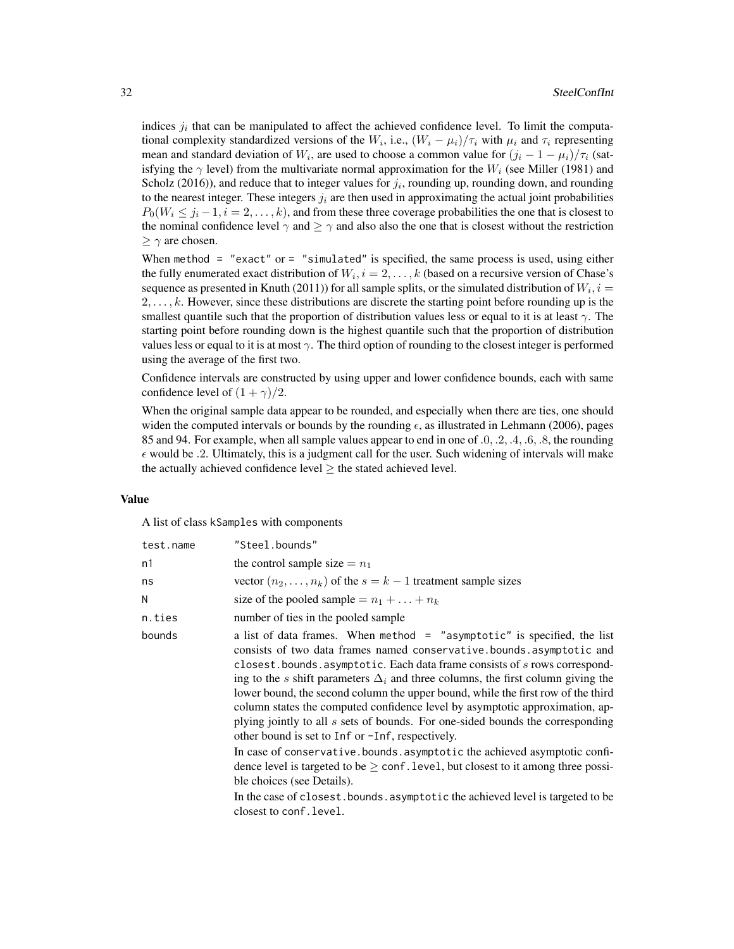indices  $j_i$  that can be manipulated to affect the achieved confidence level. To limit the computational complexity standardized versions of the  $W_i$ , i.e.,  $(W_i - \mu_i)/\tau_i$  with  $\mu_i$  and  $\tau_i$  representing mean and standard deviation of  $W_i$ , are used to choose a common value for  $(j_i - 1 - \mu_i)/\tau_i$  (satisfying the  $\gamma$  level) from the multivariate normal approximation for the  $W_i$  (see Miller (1981) and Scholz (2016)), and reduce that to integer values for  $j_i$ , rounding up, rounding down, and rounding to the nearest integer. These integers  $j_i$  are then used in approximating the actual joint probabilities  $P_0(W_i \leq j_i - 1, i = 2, \ldots, k)$ , and from these three coverage probabilities the one that is closest to the nominal confidence level  $\gamma$  and  $\geq \gamma$  and also also the one that is closest without the restriction  $\geq \gamma$  are chosen.

When method = "exact" or  $=$  "simulated" is specified, the same process is used, using either the fully enumerated exact distribution of  $W_i$ ,  $i = 2, \ldots, k$  (based on a recursive version of Chase's sequence as presented in Knuth (2011)) for all sample splits, or the simulated distribution of  $W_i$ ,  $i =$  $2, \ldots, k$ . However, since these distributions are discrete the starting point before rounding up is the smallest quantile such that the proportion of distribution values less or equal to it is at least  $\gamma$ . The starting point before rounding down is the highest quantile such that the proportion of distribution values less or equal to it is at most  $\gamma$ . The third option of rounding to the closest integer is performed using the average of the first two.

Confidence intervals are constructed by using upper and lower confidence bounds, each with same confidence level of  $(1 + \gamma)/2$ .

When the original sample data appear to be rounded, and especially when there are ties, one should widen the computed intervals or bounds by the rounding  $\epsilon$ , as illustrated in Lehmann (2006), pages 85 and 94. For example, when all sample values appear to end in one of .0, .2, .4, .6, .8, the rounding  $\epsilon$  would be .2. Ultimately, this is a judgment call for the user. Such widening of intervals will make the actually achieved confidence level  $\geq$  the stated achieved level.

#### Value

A list of class kSamples with components

| the control sample size $= n_1$<br>vector $(n_2, \ldots, n_k)$ of the $s = k - 1$ treatment sample sizes<br>size of the pooled sample = $n_1 +  + n_k$                                                                                                                                                                                                                                                                                                                                                                                                                                                                                                                                                                                                                                                                                                                                                                                                 |
|--------------------------------------------------------------------------------------------------------------------------------------------------------------------------------------------------------------------------------------------------------------------------------------------------------------------------------------------------------------------------------------------------------------------------------------------------------------------------------------------------------------------------------------------------------------------------------------------------------------------------------------------------------------------------------------------------------------------------------------------------------------------------------------------------------------------------------------------------------------------------------------------------------------------------------------------------------|
|                                                                                                                                                                                                                                                                                                                                                                                                                                                                                                                                                                                                                                                                                                                                                                                                                                                                                                                                                        |
|                                                                                                                                                                                                                                                                                                                                                                                                                                                                                                                                                                                                                                                                                                                                                                                                                                                                                                                                                        |
|                                                                                                                                                                                                                                                                                                                                                                                                                                                                                                                                                                                                                                                                                                                                                                                                                                                                                                                                                        |
| number of ties in the pooled sample                                                                                                                                                                                                                                                                                                                                                                                                                                                                                                                                                                                                                                                                                                                                                                                                                                                                                                                    |
| a list of data frames. When method $=$ "asymptotic" is specified, the list<br>consists of two data frames named conservative bounds asymptotic and<br>closest.bounds.asymptotic. Each data frame consists of s rows correspond-<br>ing to the s shift parameters $\Delta_i$ and three columns, the first column giving the<br>lower bound, the second column the upper bound, while the first row of the third<br>column states the computed confidence level by asymptotic approximation, ap-<br>plying jointly to all s sets of bounds. For one-sided bounds the corresponding<br>other bound is set to Inf or -Inf, respectively.<br>In case of conservative.bounds.asymptotic the achieved asymptotic confi-<br>dence level is targeted to be $\geq$ conf. level, but closest to it among three possi-<br>ble choices (see Details).<br>In the case of closest. bounds. asymptotic the achieved level is targeted to be<br>closest to conf. level. |
|                                                                                                                                                                                                                                                                                                                                                                                                                                                                                                                                                                                                                                                                                                                                                                                                                                                                                                                                                        |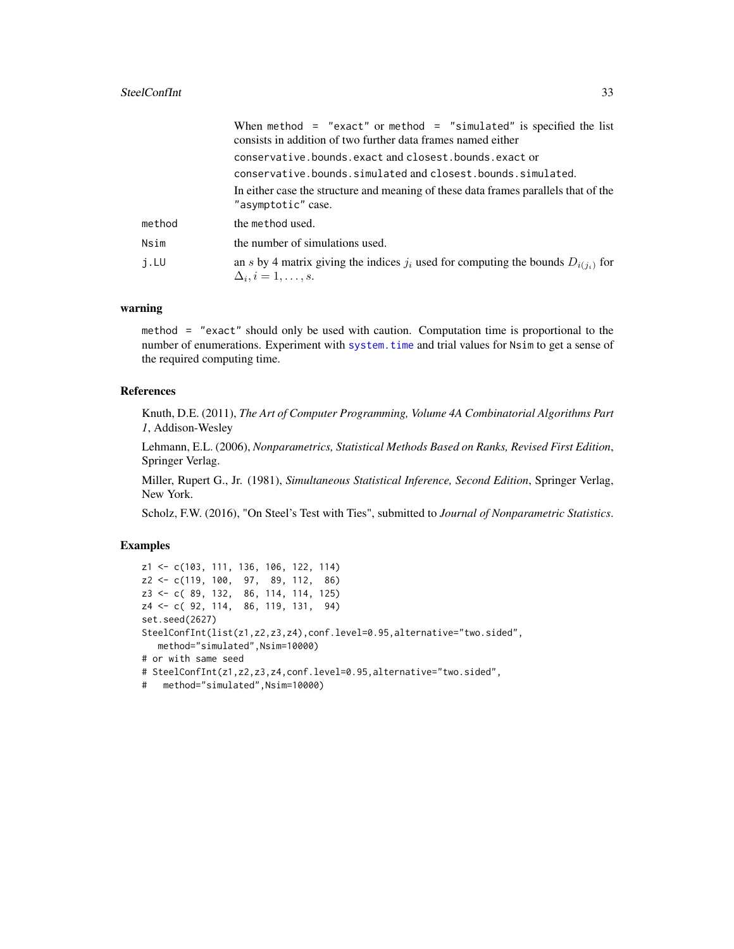#### <span id="page-32-0"></span>SteelConfInt 33

|        | When method = "exact" or method = "simulated" is specified the list<br>consists in addition of two further data frames named either |
|--------|-------------------------------------------------------------------------------------------------------------------------------------|
|        | conservative.bounds.exact and closest.bounds.exact or                                                                               |
|        | conservative.bounds.simulated and closest.bounds.simulated.                                                                         |
|        | In either case the structure and meaning of these data frames parallels that of the<br>"asymptotic" case.                           |
| method | the method used.                                                                                                                    |
| Nsim   | the number of simulations used.                                                                                                     |
| j.LU   | an s by 4 matrix giving the indices $j_i$ used for computing the bounds $D_{i(j_i)}$ for<br>$\Delta_i, i=1,\ldots,s.$               |

#### warning

method = "exact" should only be used with caution. Computation time is proportional to the number of enumerations. Experiment with [system.time](#page-0-0) and trial values for Nsim to get a sense of the required computing time.

#### References

Knuth, D.E. (2011), *The Art of Computer Programming, Volume 4A Combinatorial Algorithms Part 1*, Addison-Wesley

Lehmann, E.L. (2006), *Nonparametrics, Statistical Methods Based on Ranks, Revised First Edition*, Springer Verlag.

Miller, Rupert G., Jr. (1981), *Simultaneous Statistical Inference, Second Edition*, Springer Verlag, New York.

Scholz, F.W. (2016), "On Steel's Test with Ties", submitted to *Journal of Nonparametric Statistics*.

#### Examples

```
z1 <- c(103, 111, 136, 106, 122, 114)
z2 <- c(119, 100, 97, 89, 112, 86)
z3 <- c( 89, 132, 86, 114, 114, 125)
z4 <- c( 92, 114, 86, 119, 131, 94)
set.seed(2627)
SteelConfInt(list(z1,z2,z3,z4),conf.level=0.95,alternative="two.sided",
  method="simulated",Nsim=10000)
# or with same seed
# SteelConfInt(z1,z2,z3,z4,conf.level=0.95,alternative="two.sided",
# method="simulated",Nsim=10000)
```